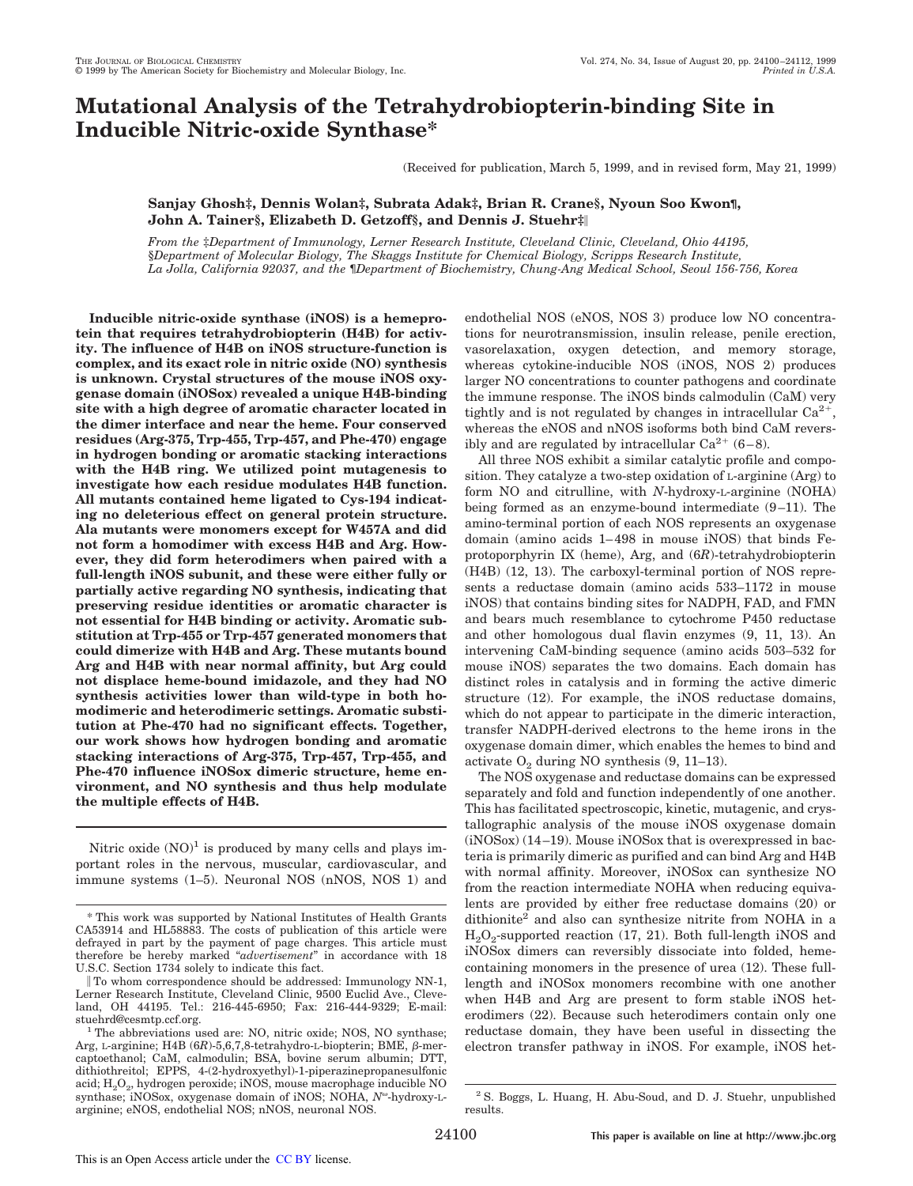# **Mutational Analysis of the Tetrahydrobiopterin-binding Site in Inducible Nitric-oxide Synthase\***

(Received for publication, March 5, 1999, and in revised form, May 21, 1999)

# **Sanjay Ghosh‡, Dennis Wolan‡, Subrata Adak‡, Brian R. Crane§, Nyoun Soo Kwon¶, John A. Tainer§, Elizabeth D. Getzoff§, and Dennis J. Stuehr‡**i

*From the* ‡*Department of Immunology, Lerner Research Institute, Cleveland Clinic, Cleveland, Ohio 44195,* §*Department of Molecular Biology, The Skaggs Institute for Chemical Biology, Scripps Research Institute, La Jolla, California 92037, and the* ¶*Department of Biochemistry, Chung-Ang Medical School, Seoul 156-756, Korea*

**Inducible nitric-oxide synthase (iNOS) is a hemeprotein that requires tetrahydrobiopterin (H4B) for activity. The influence of H4B on iNOS structure-function is complex, and its exact role in nitric oxide (NO) synthesis is unknown. Crystal structures of the mouse iNOS oxygenase domain (iNOSox) revealed a unique H4B-binding site with a high degree of aromatic character located in the dimer interface and near the heme. Four conserved residues (Arg-375, Trp-455, Trp-457, and Phe-470) engage in hydrogen bonding or aromatic stacking interactions with the H4B ring. We utilized point mutagenesis to investigate how each residue modulates H4B function. All mutants contained heme ligated to Cys-194 indicating no deleterious effect on general protein structure. Ala mutants were monomers except for W457A and did not form a homodimer with excess H4B and Arg. However, they did form heterodimers when paired with a full-length iNOS subunit, and these were either fully or partially active regarding NO synthesis, indicating that preserving residue identities or aromatic character is not essential for H4B binding or activity. Aromatic substitution at Trp-455 or Trp-457 generated monomers that could dimerize with H4B and Arg. These mutants bound Arg and H4B with near normal affinity, but Arg could not displace heme-bound imidazole, and they had NO synthesis activities lower than wild-type in both homodimeric and heterodimeric settings. Aromatic substitution at Phe-470 had no significant effects. Together, our work shows how hydrogen bonding and aromatic stacking interactions of Arg-375, Trp-457, Trp-455, and Phe-470 influence iNOSox dimeric structure, heme environment, and NO synthesis and thus help modulate the multiple effects of H4B.**

Nitric oxide  $(NO)^1$  is produced by many cells and plays important roles in the nervous, muscular, cardiovascular, and immune systems (1–5). Neuronal NOS (nNOS, NOS 1) and endothelial NOS (eNOS, NOS 3) produce low NO concentrations for neurotransmission, insulin release, penile erection, vasorelaxation, oxygen detection, and memory storage, whereas cytokine-inducible NOS (iNOS, NOS 2) produces larger NO concentrations to counter pathogens and coordinate the immune response. The iNOS binds calmodulin (CaM) very tightly and is not regulated by changes in intracellular  $Ca^{2+}$ , whereas the eNOS and nNOS isoforms both bind CaM reversibly and are regulated by intracellular  $Ca^{2+}$  (6-8).

All three NOS exhibit a similar catalytic profile and composition. They catalyze a two-step oxidation of L-arginine (Arg) to form NO and citrulline, with *N*-hydroxy-L-arginine (NOHA) being formed as an enzyme-bound intermediate (9–11). The amino-terminal portion of each NOS represents an oxygenase domain (amino acids 1–498 in mouse iNOS) that binds Feprotoporphyrin IX (heme), Arg, and (6*R*)-tetrahydrobiopterin (H4B) (12, 13). The carboxyl-terminal portion of NOS represents a reductase domain (amino acids 533–1172 in mouse iNOS) that contains binding sites for NADPH, FAD, and FMN and bears much resemblance to cytochrome P450 reductase and other homologous dual flavin enzymes (9, 11, 13). An intervening CaM-binding sequence (amino acids 503–532 for mouse iNOS) separates the two domains. Each domain has distinct roles in catalysis and in forming the active dimeric structure (12). For example, the iNOS reductase domains, which do not appear to participate in the dimeric interaction, transfer NADPH-derived electrons to the heme irons in the oxygenase domain dimer, which enables the hemes to bind and activate  $O_2$  during NO synthesis (9, 11–13).

The NOS oxygenase and reductase domains can be expressed separately and fold and function independently of one another. This has facilitated spectroscopic, kinetic, mutagenic, and crystallographic analysis of the mouse iNOS oxygenase domain (iNOSox) (14–19). Mouse iNOSox that is overexpressed in bacteria is primarily dimeric as purified and can bind Arg and H4B with normal affinity. Moreover, iNOSox can synthesize NO from the reaction intermediate NOHA when reducing equivalents are provided by either free reductase domains (20) or dithionite<sup>2</sup> and also can synthesize nitrite from NOHA in a  $\text{H}_{2}\text{O}_{2}$ -supported reaction (17, 21). Both full-length iNOS and iNOSox dimers can reversibly dissociate into folded, hemecontaining monomers in the presence of urea (12). These fulllength and iNOSox monomers recombine with one another when H4B and Arg are present to form stable iNOS heterodimers (22). Because such heterodimers contain only one reductase domain, they have been useful in dissecting the electron transfer pathway in iNOS. For example, iNOS het-

<sup>\*</sup> This work was supported by National Institutes of Health Grants CA53914 and HL58883. The costs of publication of this article were defrayed in part by the payment of page charges. This article must therefore be hereby marked "*advertisement*" in accordance with 18 U.S.C. Section 1734 solely to indicate this fact.

i To whom correspondence should be addressed: Immunology NN-1, Lerner Research Institute, Cleveland Clinic, 9500 Euclid Ave., Cleveland, OH 44195. Tel.: 216-445-6950; Fax: 216-444-9329; E-mail: stuehrd@cesmtp.ccf.org.

<sup>&</sup>lt;sup>1</sup> The abbreviations used are: NO, nitric oxide; NOS, NO synthase; Arg, L-arginine; H4B (6R)-5,6,7,8-tetrahydro-L-biopterin; BME, β-mercaptoethanol; CaM, calmodulin; BSA, bovine serum albumin; DTT, dithiothreitol; EPPS, 4-(2-hydroxyethyl)-1-piperazinepropanesulfonic acid;  $\mathrm{H}_2\mathrm{O}_2$ , hydrogen peroxide; iNOS, mouse macrophage inducible NO synthase; iNOSox, oxygenase domain of iNOS; NOHA, N<sup>o</sup>-hydroxy-Larginine; eNOS, endothelial NOS; nNOS, neuronal NOS.

<sup>2</sup> S. Boggs, L. Huang, H. Abu-Soud, and D. J. Stuehr, unpublished results.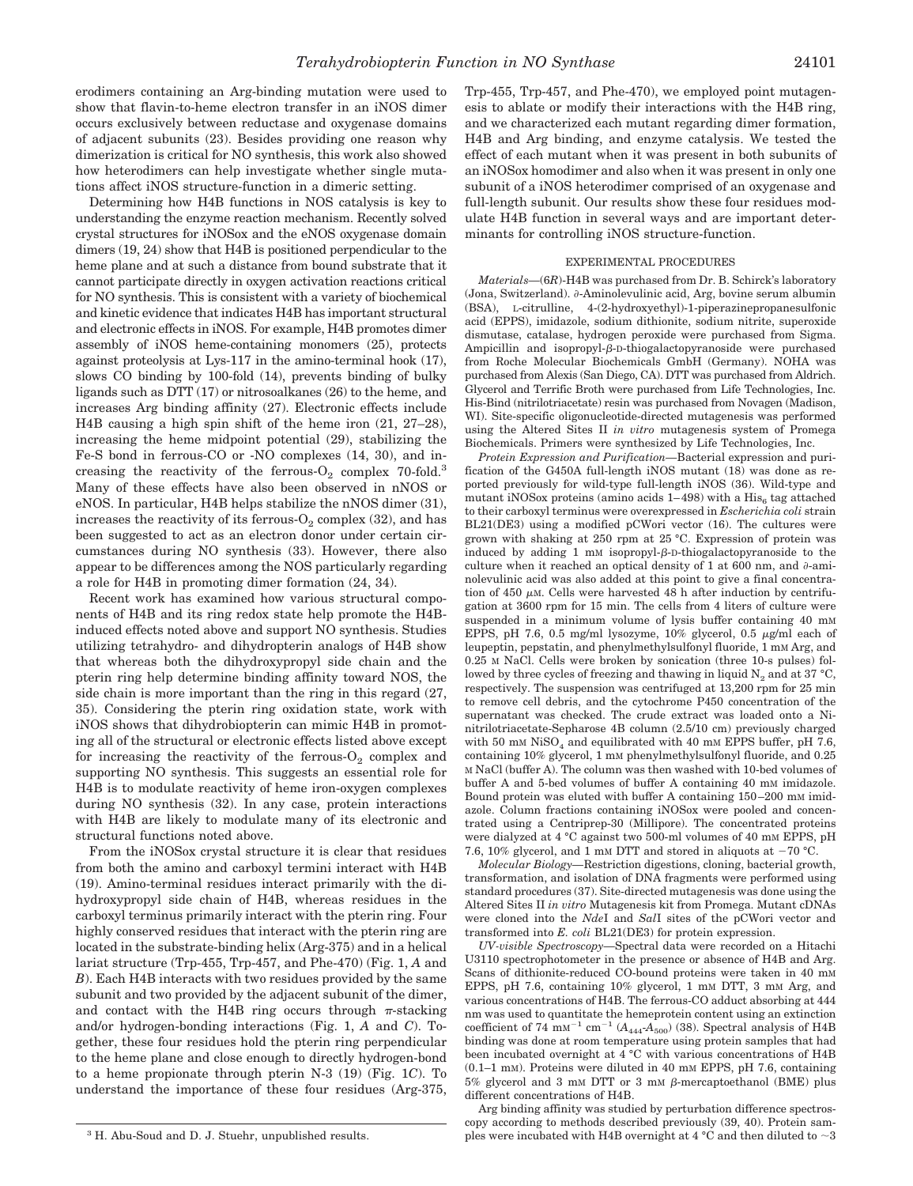erodimers containing an Arg-binding mutation were used to show that flavin-to-heme electron transfer in an iNOS dimer occurs exclusively between reductase and oxygenase domains of adjacent subunits (23). Besides providing one reason why dimerization is critical for NO synthesis, this work also showed how heterodimers can help investigate whether single mutations affect iNOS structure-function in a dimeric setting.

Determining how H4B functions in NOS catalysis is key to understanding the enzyme reaction mechanism. Recently solved crystal structures for iNOSox and the eNOS oxygenase domain dimers (19, 24) show that H4B is positioned perpendicular to the heme plane and at such a distance from bound substrate that it cannot participate directly in oxygen activation reactions critical for NO synthesis. This is consistent with a variety of biochemical and kinetic evidence that indicates H4B has important structural and electronic effects in iNOS. For example, H4B promotes dimer assembly of iNOS heme-containing monomers (25), protects against proteolysis at Lys-117 in the amino-terminal hook (17), slows CO binding by 100-fold (14), prevents binding of bulky ligands such as DTT (17) or nitrosoalkanes (26) to the heme, and increases Arg binding affinity (27). Electronic effects include H4B causing a high spin shift of the heme iron (21, 27–28), increasing the heme midpoint potential (29), stabilizing the Fe-S bond in ferrous-CO or -NO complexes (14, 30), and increasing the reactivity of the ferrous- $O_2$  complex 70-fold.<sup>3</sup> Many of these effects have also been observed in nNOS or eNOS. In particular, H4B helps stabilize the nNOS dimer (31), increases the reactivity of its ferrous- ${\rm O}_2$  complex (32), and has been suggested to act as an electron donor under certain circumstances during NO synthesis (33). However, there also appear to be differences among the NOS particularly regarding a role for H4B in promoting dimer formation (24, 34).

Recent work has examined how various structural components of H4B and its ring redox state help promote the H4Binduced effects noted above and support NO synthesis. Studies utilizing tetrahydro- and dihydropterin analogs of H4B show that whereas both the dihydroxypropyl side chain and the pterin ring help determine binding affinity toward NOS, the side chain is more important than the ring in this regard (27, 35). Considering the pterin ring oxidation state, work with iNOS shows that dihydrobiopterin can mimic H4B in promoting all of the structural or electronic effects listed above except for increasing the reactivity of the ferrous- $O_2$  complex and supporting NO synthesis. This suggests an essential role for H4B is to modulate reactivity of heme iron-oxygen complexes during NO synthesis (32). In any case, protein interactions with H4B are likely to modulate many of its electronic and structural functions noted above.

From the iNOSox crystal structure it is clear that residues from both the amino and carboxyl termini interact with H4B (19). Amino-terminal residues interact primarily with the dihydroxypropyl side chain of H4B, whereas residues in the carboxyl terminus primarily interact with the pterin ring. Four highly conserved residues that interact with the pterin ring are located in the substrate-binding helix (Arg-375) and in a helical lariat structure (Trp-455, Trp-457, and Phe-470) (Fig. 1, *A* and *B*). Each H4B interacts with two residues provided by the same subunit and two provided by the adjacent subunit of the dimer, and contact with the H4B ring occurs through  $\pi$ -stacking and/or hydrogen-bonding interactions (Fig. 1, *A* and *C*). Together, these four residues hold the pterin ring perpendicular to the heme plane and close enough to directly hydrogen-bond to a heme propionate through pterin N-3 (19) (Fig. 1*C*). To understand the importance of these four residues (Arg-375,

Trp-455, Trp-457, and Phe-470), we employed point mutagenesis to ablate or modify their interactions with the H4B ring, and we characterized each mutant regarding dimer formation, H4B and Arg binding, and enzyme catalysis. We tested the effect of each mutant when it was present in both subunits of an iNOSox homodimer and also when it was present in only one subunit of a iNOS heterodimer comprised of an oxygenase and full-length subunit. Our results show these four residues modulate H4B function in several ways and are important determinants for controlling iNOS structure-function.

### EXPERIMENTAL PROCEDURES

*Materials—*(6*R*)-H4B was purchased from Dr. B. Schirck's laboratory (Jona, Switzerland).  $\partial$ -Aminolevulinic acid, Arg, bovine serum albumin (BSA), L-citrulline, 4-(2-hydroxyethyl)-1-piperazinepropanesulfonic acid (EPPS), imidazole, sodium dithionite, sodium nitrite, superoxide dismutase, catalase, hydrogen peroxide were purchased from Sigma. Ampicillin and isopropyl- $\beta$ -D-thiogalactopyranoside were purchased from Roche Molecular Biochemicals GmbH (Germany). NOHA was purchased from Alexis (San Diego, CA). DTT was purchased from Aldrich. Glycerol and Terrific Broth were purchased from Life Technologies, Inc. His-Bind (nitrilotriacetate) resin was purchased from Novagen (Madison, WI). Site-specific oligonucleotide-directed mutagenesis was performed using the Altered Sites II *in vitro* mutagenesis system of Promega Biochemicals. Primers were synthesized by Life Technologies, Inc.

*Protein Expression and Purification—*Bacterial expression and purification of the G450A full-length iNOS mutant (18) was done as reported previously for wild-type full-length iNOS (36). Wild-type and mutant iNOSox proteins (amino acids  $1-498$ ) with a  $\mathrm{His}_6$  tag attached to their carboxyl terminus were overexpressed in *Escherichia coli* strain BL21(DE3) using a modified pCWori vector (16). The cultures were grown with shaking at 250 rpm at 25 °C. Expression of protein was induced by adding 1 mM isopropyl- $\beta$ -D-thiogalactopyranoside to the culture when it reached an optical density of 1 at 600 nm, and  $\partial$ -aminolevulinic acid was also added at this point to give a final concentration of  $450 \mu M$ . Cells were harvested  $48$  h after induction by centrifugation at 3600 rpm for 15 min. The cells from 4 liters of culture were suspended in a minimum volume of lysis buffer containing 40 mm EPPS, pH 7.6, 0.5 mg/ml lysozyme,  $10\%$  glycerol, 0.5  $\mu$ g/ml each of leupeptin, pepstatin, and phenylmethylsulfonyl fluoride, 1 mM Arg, and 0.25 M NaCl. Cells were broken by sonication (three 10-s pulses) followed by three cycles of freezing and thawing in liquid  $N_2$  and at 37 °C, respectively. The suspension was centrifuged at 13,200 rpm for 25 min to remove cell debris, and the cytochrome P450 concentration of the supernatant was checked. The crude extract was loaded onto a Ninitrilotriacetate-Sepharose 4B column (2.5/10 cm) previously charged with 50 mM  $Niso<sub>4</sub>$  and equilibrated with 40 mM EPPS buffer, pH 7.6, containing 10% glycerol, 1 mM phenylmethylsulfonyl fluoride, and 0.25 M NaCl (buffer A). The column was then washed with 10-bed volumes of buffer A and 5-bed volumes of buffer A containing 40 mM imidazole. Bound protein was eluted with buffer A containing 150–200 mM imidazole. Column fractions containing iNOSox were pooled and concentrated using a Centriprep-30 (Millipore). The concentrated proteins were dialyzed at 4 °C against two 500-ml volumes of 40 mm EPPS, pH 7.6, 10% glycerol, and 1 mM DTT and stored in aliquots at  $-70$  °C.

*Molecular Biology—*Restriction digestions, cloning, bacterial growth, transformation, and isolation of DNA fragments were performed using standard procedures (37). Site-directed mutagenesis was done using the Altered Sites II *in vitro* Mutagenesis kit from Promega. Mutant cDNAs were cloned into the *Nde*I and *Sal*I sites of the pCWori vector and transformed into *E. coli* BL21(DE3) for protein expression.

*UV-visible Spectroscopy—*Spectral data were recorded on a Hitachi U3110 spectrophotometer in the presence or absence of H4B and Arg. Scans of dithionite-reduced CO-bound proteins were taken in 40 mM EPPS, pH 7.6, containing 10% glycerol, 1 mM DTT, 3 mM Arg, and various concentrations of H4B. The ferrous-CO adduct absorbing at 444 nm was used to quantitate the hemeprotein content using an extinction coefficient of 74 mm<sup>-1</sup> cm<sup>-1</sup> ( $A_{444}A_{500}$ ) (38). Spectral analysis of H4B binding was done at room temperature using protein samples that had been incubated overnight at 4 °C with various concentrations of H4B  $(0.1-1 \text{ mm})$ . Proteins were diluted in 40 mm EPPS, pH 7.6, containing  $5\%$  glycerol and 3 mM DTT or 3 mM  $\beta$ -mercaptoethanol (BME) plus different concentrations of H4B.

Arg binding affinity was studied by perturbation difference spectroscopy according to methods described previously (39, 40). Protein samples were incubated with H4B overnight at 4 °C and then diluted to  $\sim$ 3

<sup>3</sup> H. Abu-Soud and D. J. Stuehr, unpublished results.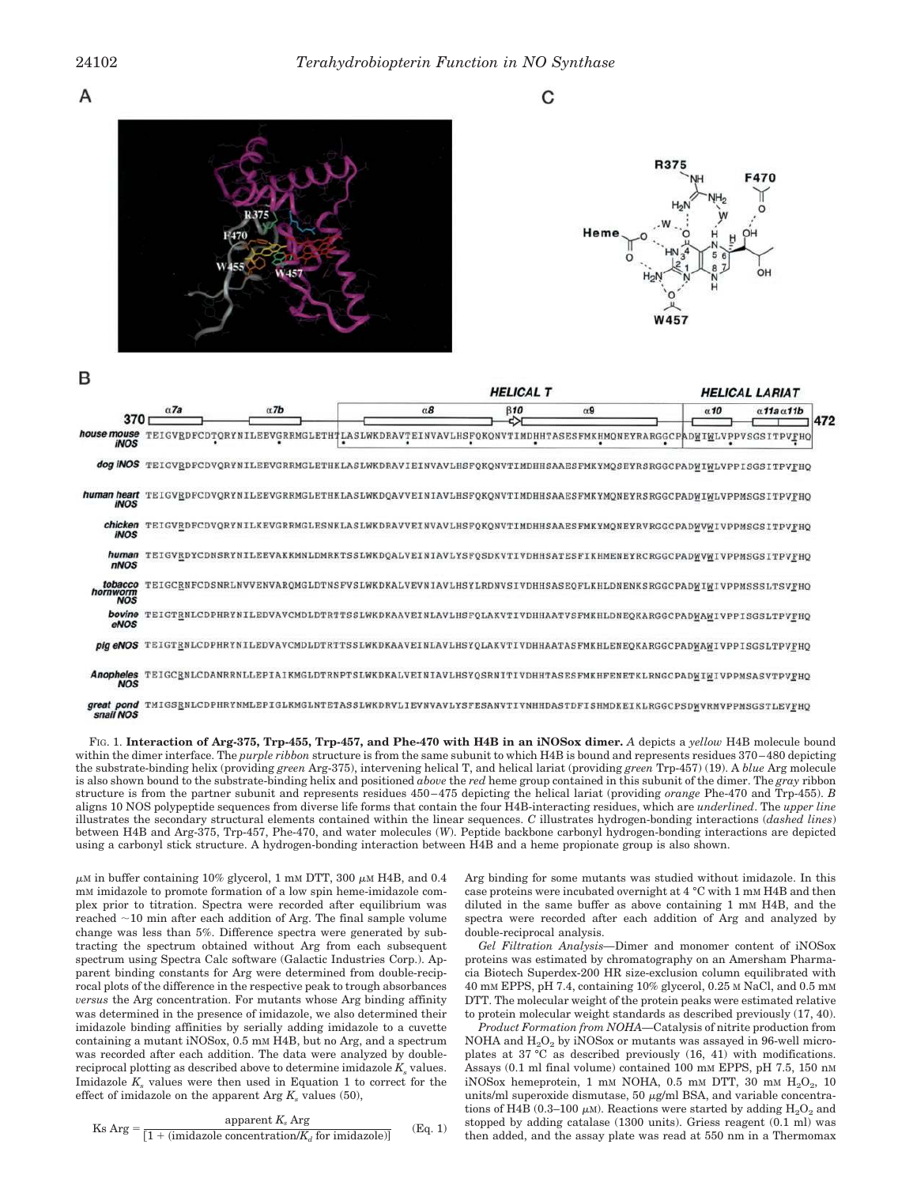A





| в                                 |             |                                                                                                         |            | <b>HELICAL T</b> |            |             | <b>HELICAL LARIAT</b>            |
|-----------------------------------|-------------|---------------------------------------------------------------------------------------------------------|------------|------------------|------------|-------------|----------------------------------|
| 370                               | $\alpha$ 7a | $\alpha$ 7b                                                                                             | $\alpha$ 8 | $\beta$ 10       | $\alpha$ 9 | $\alpha$ 10 | $\alpha$ 11a $\alpha$ 11b<br>472 |
| house mouse<br><b>INOS</b>        |             | TEIGVEDFCDTQRYNILEEVGRRMGLETHTLASLWKDRAVTEINVAVLHSFQKQNVTIMDHHTASESFMKHMQNEYRARGGCPADWIWLVPPVSGSITPVFHQ |            |                  |            |             |                                  |
| dog iNOS                          |             | TEIGVRDFCDVQRYNILEEVGRRMGLETHKLASLWKDRAVIEINVAVLHSFQKQNVTIMDHHSAAESFMKYMQSEYRSRGGCPADWIWLVPPISGSITPVFHQ |            |                  |            |             |                                  |
| human heart<br><b>INOS</b>        |             | TEIGVRDFCDVQRYNILEEVGRRMGLETHKLASLWKDQAVVEINIAVLHSFQKQNVTIMDHHSAAESFMKYMQNEYRSRGGCPADWIWLVPPMSGSITPVFHQ |            |                  |            |             |                                  |
| chicken<br><b>INOS</b>            |             | TEIGVRDFCDVQRYNILKEVGRRMGLESNKLASLWKDRAVVEINVAVLHSFQKQNVTIMDHHSAAESFMKYMQNEYRVRGGCPADWVWIVPPMSGSITPVFHQ |            |                  |            |             |                                  |
| human<br>nNOS                     |             | TEIGVRDYCDNSRYNILEEVAKKMNLDMRKTSSLWKDQALVEINIAVLYSFQSDKVTIVDHHSATESFIKHMENEYRCRGGCPADWVWIVPPMSGSITPVFHQ |            |                  |            |             |                                  |
| tobacco<br>hornworm<br><b>NOS</b> |             | TEIGCRNFCDSNRLNVVENVARQMGLDTNSFVSLWKDKALVEVN1AVLHSYLRDNVSIVDHHSASEQFLKHLDNENKSRGGCPADWIWIVPPMSSSLTSVFHQ |            |                  |            |             |                                  |
| bovine<br>eNOS                    |             | TEIGTENLCDPHRYNILEDVAVCMDLDTRTTSSLWKDKAAVEINLAVLHSFQLAKVTIVDHHAATVSFMKHLDNEQKARGGCPADWAWIVPPISGSLTPVFHQ |            |                  |            |             |                                  |
| pig eNOS                          |             | TEIGTENLCDPHRYNILEDVAVCMDLDTRTTSSLWKDKAAVEINLAVLHSYQLAKVTIVDHHAATASFMKHLENEQKARGGCPADWAWIVPPISGSLTPVFHQ |            |                  |            |             |                                  |
| Anopheles<br><b>NOS</b>           |             | TEIGCRNLCDANRRNLLEPIAIKMGLDTRNPTSLWKDKALVEINIAVLHSYQSRNITIVDHHTASESFMKHFENETKLRNGCPADWIWIVPPMSASVTPVFHQ |            |                  |            |             |                                  |
| great pond<br>snail NOS           |             | TMIGSRNLCDPHRYNMLEPIGLKMGLNTETASSLWKDRVLIEVNVAVLYSFESANVTIVNHHDASTDFISHMDKEIKLRGGCPSDWVRMVPPMSGSTLEVFHQ |            |                  |            |             |                                  |

FIG. 1. **Interaction of Arg-375, Trp-455, Trp-457, and Phe-470 with H4B in an iNOSox dimer.** *A* depicts a *yellow* H4B molecule bound within the dimer interface. The *purple ribbon* structure is from the same subunit to which H4B is bound and represents residues 370–480 depicting the substrate-binding helix (providing *green* Arg-375), intervening helical T, and helical lariat (providing *green* Trp-457) (19). A *blue* Arg molecule is also shown bound to the substrate-binding helix and positioned *above* the *red* heme group contained in this subunit of the dimer. The *gray* ribbon structure is from the partner subunit and represents residues 450–475 depicting the helical lariat (providing *orange* Phe-470 and Trp-455). *B* aligns 10 NOS polypeptide sequences from diverse life forms that contain the four H4B-interacting residues, which are *underlined*. The *upper line* illustrates the secondary structural elements contained within the linear sequences. *C* illustrates hydrogen-bonding interactions (*dashed lines*) between H4B and Arg-375, Trp-457, Phe-470, and water molecules (*W*). Peptide backbone carbonyl hydrogen-bonding interactions are depicted using a carbonyl stick structure. A hydrogen-bonding interaction between H4B and a heme propionate group is also shown.

 $\mu$ M in buffer containing 10% glycerol, 1 mM DTT, 300  $\mu$ M H4B, and 0.4 mM imidazole to promote formation of a low spin heme-imidazole complex prior to titration. Spectra were recorded after equilibrium was reached  $\sim$ 10 min after each addition of Arg. The final sample volume change was less than 5%. Difference spectra were generated by subtracting the spectrum obtained without Arg from each subsequent spectrum using Spectra Calc software (Galactic Industries Corp.). Apparent binding constants for Arg were determined from double-reciprocal plots of the difference in the respective peak to trough absorbances *versus* the Arg concentration. For mutants whose Arg binding affinity was determined in the presence of imidazole, we also determined their imidazole binding affinities by serially adding imidazole to a cuvette containing a mutant iNOSox, 0.5 mM H4B, but no Arg, and a spectrum was recorded after each addition. The data were analyzed by doublereciprocal plotting as described above to determine imidazole  $K_s$  values. Imidazole  $K_s$  values were then used in Equation 1 to correct for the effect of imidazole on the apparent Arg  $K_s$  values (50),

$$
Ks \text{ Arg} = \frac{\text{apparent } K_s \text{ Arg}}{[1 + (\text{imidazole concentration}/K_d \text{ for imidazole})]} \qquad (Eq. 1)
$$

Arg binding for some mutants was studied without imidazole. In this case proteins were incubated overnight at 4 °C with 1 mM H4B and then diluted in the same buffer as above containing 1 mM H4B, and the spectra were recorded after each addition of Arg and analyzed by double-reciprocal analysis.

*Gel Filtration Analysis—*Dimer and monomer content of iNOSox proteins was estimated by chromatography on an Amersham Pharmacia Biotech Superdex-200 HR size-exclusion column equilibrated with 40 mM EPPS, pH 7.4, containing 10% glycerol, 0.25 M NaCl, and 0.5 mM DTT. The molecular weight of the protein peaks were estimated relative to protein molecular weight standards as described previously (17, 40).

*Product Formation from NOHA—*Catalysis of nitrite production from NOHA and  $H_2O_2$  by iNOSox or mutants was assayed in 96-well microplates at 37 °C as described previously (16, 41) with modifications. Assays (0.1 ml final volume) contained 100 mM EPPS, pH 7.5, 150 nM  $i$ NOS $ox$  hemeprotein, 1 mm NOHA, 0.5 mm DTT, 30 mm  $H_2O_2$ , 10 units/ml superoxide dismutase, 50  $\mu$ g/ml BSA, and variable concentrations of H4B (0.3–100  $\mu$ M). Reactions were started by adding  $H_2O_2$  and stopped by adding catalase (1300 units). Griess reagent (0.1 ml) was then added, and the assay plate was read at 550 nm in a Thermomax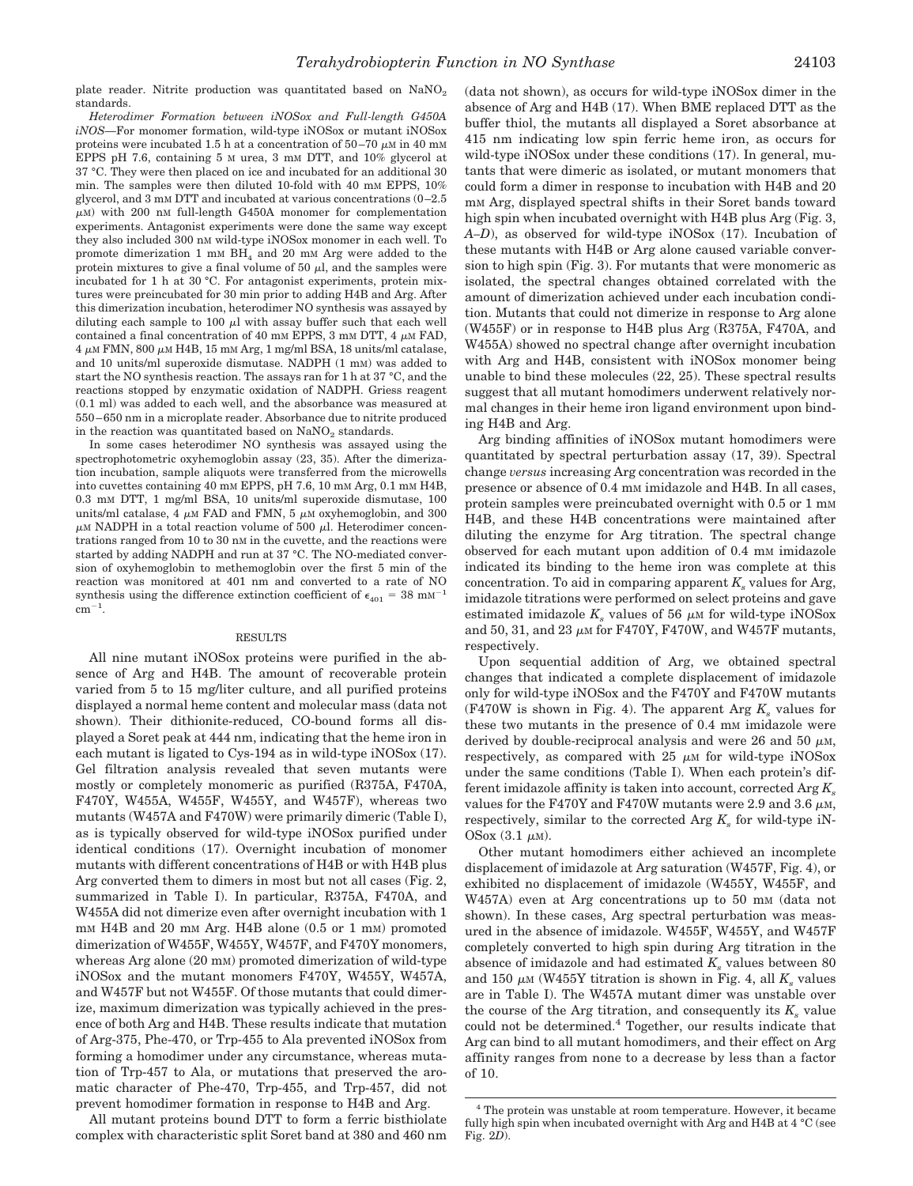plate reader. Nitrite production was quantitated based on  $\text{NaNO}_2$ standards.

*Heterodimer Formation between iNOSox and Full-length G450A iNOS—*For monomer formation, wild-type iNOSox or mutant iNOSox proteins were incubated 1.5 h at a concentration of  $50-70 \mu \text{m}$  in 40 mM EPPS pH 7.6, containing 5 M urea, 3 mM DTT, and 10% glycerol at 37 °C. They were then placed on ice and incubated for an additional 30 min. The samples were then diluted 10-fold with 40 mm EPPS, 10% glycerol, and 3 mM DTT and incubated at various concentrations  $(0-2.5)$  $\mu$ M) with 200 nM full-length G450A monomer for complementation experiments. Antagonist experiments were done the same way except they also included 300 nM wild-type iNOSox monomer in each well. To promote dimerization 1 mm  $BH<sub>4</sub>$  and 20 mm Arg were added to the protein mixtures to give a final volume of 50  $\mu$ l, and the samples were incubated for 1 h at 30 °C. For antagonist experiments, protein mixtures were preincubated for 30 min prior to adding H4B and Arg. After this dimerization incubation, heterodimer NO synthesis was assayed by diluting each sample to 100  $\mu$ l with assay buffer such that each well contained a final concentration of 40 mm EPPS, 3 mm DTT, 4  $\mu$ m FAD,  $4 \mu$ M FMN, 800  $\mu$ M H4B, 15 mM Arg, 1 mg/ml BSA, 18 units/ml catalase, and 10 units/ml superoxide dismutase. NADPH (1 mM) was added to start the NO synthesis reaction. The assays ran for 1 h at 37 °C, and the reactions stopped by enzymatic oxidation of NADPH. Griess reagent (0.1 ml) was added to each well, and the absorbance was measured at 550–650 nm in a microplate reader. Absorbance due to nitrite produced in the reaction was quantitated based on  $\text{NaNO}_2$  standards.

In some cases heterodimer NO synthesis was assayed using the spectrophotometric oxyhemoglobin assay (23, 35). After the dimerization incubation, sample aliquots were transferred from the microwells into cuvettes containing 40 mM EPPS, pH 7.6, 10 mM Arg, 0.1 mM H4B, 0.3 mM DTT, 1 mg/ml BSA, 10 units/ml superoxide dismutase, 100 units/ml catalase, 4  $\mu$ m FAD and FMN, 5  $\mu$ m oxyhemoglobin, and 300  $\mu$ M NADPH in a total reaction volume of 500  $\mu$ l. Heterodimer concentrations ranged from 10 to 30 nM in the cuvette, and the reactions were started by adding NADPH and run at 37 °C. The NO-mediated conversion of oxyhemoglobin to methemoglobin over the first 5 min of the reaction was monitored at 401 nm and converted to a rate of NO synthesis using the difference extinction coefficient of  $\epsilon_{401} = 38 \text{ mm}^{-1}$  $cm^{-1}$ .

#### RESULTS

All nine mutant iNOSox proteins were purified in the absence of Arg and H4B. The amount of recoverable protein varied from 5 to 15 mg/liter culture, and all purified proteins displayed a normal heme content and molecular mass (data not shown). Their dithionite-reduced, CO-bound forms all displayed a Soret peak at 444 nm, indicating that the heme iron in each mutant is ligated to Cys-194 as in wild-type iNOSox (17). Gel filtration analysis revealed that seven mutants were mostly or completely monomeric as purified (R375A, F470A, F470Y, W455A, W455F, W455Y, and W457F), whereas two mutants (W457A and F470W) were primarily dimeric (Table I), as is typically observed for wild-type iNOSox purified under identical conditions (17). Overnight incubation of monomer mutants with different concentrations of H4B or with H4B plus Arg converted them to dimers in most but not all cases (Fig. 2, summarized in Table I). In particular, R375A, F470A, and W455A did not dimerize even after overnight incubation with 1 mm H4B and 20 mm Arg. H4B alone (0.5 or 1 mm) promoted dimerization of W455F, W455Y, W457F, and F470Y monomers, whereas Arg alone (20 mM) promoted dimerization of wild-type iNOSox and the mutant monomers F470Y, W455Y, W457A, and W457F but not W455F. Of those mutants that could dimerize, maximum dimerization was typically achieved in the presence of both Arg and H4B. These results indicate that mutation of Arg-375, Phe-470, or Trp-455 to Ala prevented iNOSox from forming a homodimer under any circumstance, whereas mutation of Trp-457 to Ala, or mutations that preserved the aromatic character of Phe-470, Trp-455, and Trp-457, did not prevent homodimer formation in response to H4B and Arg.

All mutant proteins bound DTT to form a ferric bisthiolate complex with characteristic split Soret band at 380 and 460 nm (data not shown), as occurs for wild-type iNOSox dimer in the absence of Arg and H4B (17). When BME replaced DTT as the buffer thiol, the mutants all displayed a Soret absorbance at 415 nm indicating low spin ferric heme iron, as occurs for wild-type iNOSox under these conditions (17). In general, mutants that were dimeric as isolated, or mutant monomers that could form a dimer in response to incubation with H4B and 20 mM Arg, displayed spectral shifts in their Soret bands toward high spin when incubated overnight with H4B plus Arg (Fig. 3, *A–D*), as observed for wild-type iNOSox (17). Incubation of these mutants with H4B or Arg alone caused variable conversion to high spin (Fig. 3). For mutants that were monomeric as isolated, the spectral changes obtained correlated with the amount of dimerization achieved under each incubation condition. Mutants that could not dimerize in response to Arg alone (W455F) or in response to H4B plus Arg (R375A, F470A, and W455A) showed no spectral change after overnight incubation with Arg and H4B, consistent with iNOSox monomer being unable to bind these molecules (22, 25). These spectral results suggest that all mutant homodimers underwent relatively normal changes in their heme iron ligand environment upon binding H4B and Arg.

Arg binding affinities of iNOSox mutant homodimers were quantitated by spectral perturbation assay (17, 39). Spectral change *versus* increasing Arg concentration was recorded in the presence or absence of 0.4 mM imidazole and H4B. In all cases, protein samples were preincubated overnight with 0.5 or 1 mm H4B, and these H4B concentrations were maintained after diluting the enzyme for Arg titration. The spectral change observed for each mutant upon addition of 0.4 mM imidazole indicated its binding to the heme iron was complete at this concentration. To aid in comparing apparent  $K_s$  values for Arg, imidazole titrations were performed on select proteins and gave estimated imidazole  $K<sub>s</sub>$  values of 56  $\mu$ M for wild-type iNOSox and 50, 31, and 23  $\mu$ M for F470Y, F470W, and W457F mutants, respectively.

Upon sequential addition of Arg, we obtained spectral changes that indicated a complete displacement of imidazole only for wild-type iNOSox and the F470Y and F470W mutants (F470W is shown in Fig. 4). The apparent Arg  $K_s$  values for these two mutants in the presence of 0.4 mM imidazole were derived by double-reciprocal analysis and were 26 and 50  $\mu$ M, respectively, as compared with  $25 \mu M$  for wild-type iNOSox under the same conditions (Table I). When each protein's different imidazole affinity is taken into account, corrected Arg *K<sup>s</sup>* values for the F470Y and F470W mutants were 2.9 and 3.6  $\mu$ M, respectively, similar to the corrected Arg *K<sup>s</sup>* for wild-type iN-OSox  $(3.1 \mu M)$ .

Other mutant homodimers either achieved an incomplete displacement of imidazole at Arg saturation (W457F, Fig. 4), or exhibited no displacement of imidazole (W455Y, W455F, and W457A) even at Arg concentrations up to 50 mm (data not shown). In these cases, Arg spectral perturbation was measured in the absence of imidazole. W455F, W455Y, and W457F completely converted to high spin during Arg titration in the absence of imidazole and had estimated *K<sup>s</sup>* values between 80 and 150  $\mu$ M (W455Y titration is shown in Fig. 4, all  $K_s$  values are in Table I). The W457A mutant dimer was unstable over the course of the Arg titration, and consequently its  $K_s$  value could not be determined.<sup>4</sup> Together, our results indicate that Arg can bind to all mutant homodimers, and their effect on Arg affinity ranges from none to a decrease by less than a factor of 10.

<sup>4</sup> The protein was unstable at room temperature. However, it became fully high spin when incubated overnight with Arg and H4B at 4 °C (see Fig. 2*D*).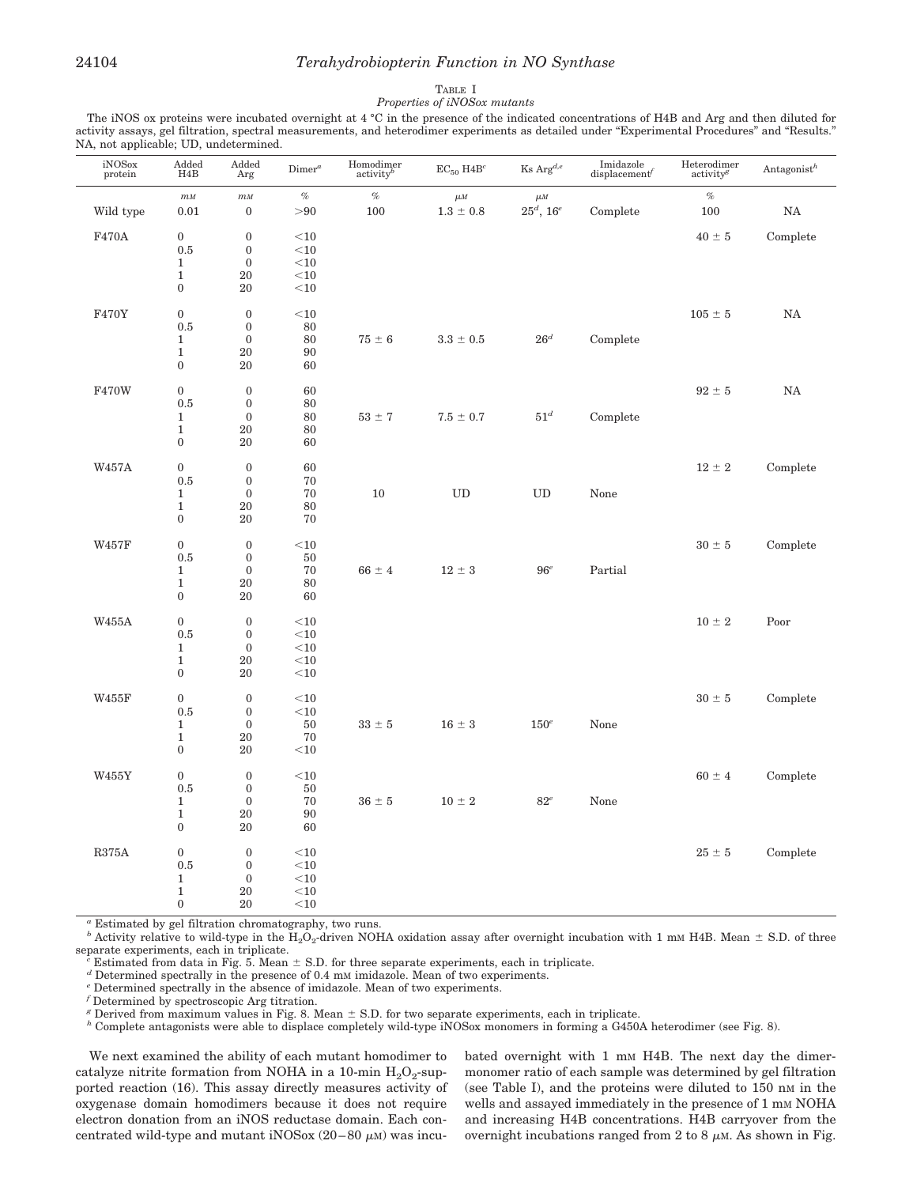## 24104 *Terahydrobiopterin Function in NO Synthase*

#### TABLE I *Properties of iNOSox mutants*

The iNOS ox proteins were incubated overnight at 4 °C in the presence of the indicated concentrations of H4B and Arg and then diluted for activity assays, gel filtration, spectral measurements, and heterodimer experiments as detailed under "Experimental Procedures" and "Results." NA, not applicable; UD, undetermined.

| $\frac{\text{iNOSox}}{\text{protein}}$ | $\begin{array}{c}\text{Added} \\ \text{H4B}\end{array}$ | Added<br>Arg     | Dimer <sup>a</sup> | $\begin{array}{c} \mbox{Homodimer} \\ \mbox{activity}^b \end{array}$ | $EC_{50}$ H4B <sup>c</sup> | $\operatorname{KsArg}^{d,e}$ | Imidazole<br>displacement | $\begin{array}{c} \rm{Heterodimer} \\ \rm{activity}^g \end{array}$ | Antagonist $^h$ |
|----------------------------------------|---------------------------------------------------------|------------------|--------------------|----------------------------------------------------------------------|----------------------------|------------------------------|---------------------------|--------------------------------------------------------------------|-----------------|
|                                        | $\sqrt{m}M$                                             | $\sqrt{m}M$      | $\%$               | $\%$                                                                 | $\mu M$                    | $\mu M$                      |                           | $\%$                                                               |                 |
| Wild type                              | 0.01                                                    | $\mathbf{0}$     | > 90               | 100                                                                  | $1.3 \pm 0.8$              | $25^d,\,16^e$                | Complete                  | 100                                                                | $_{\rm NA}$     |
| F470A                                  | $\mathbf{0}$                                            | $\boldsymbol{0}$ | $<$ 10             |                                                                      |                            |                              |                           | $40 \pm 5$                                                         | Complete        |
|                                        | 0.5                                                     | $\mathbf{0}$     | $<$ 10             |                                                                      |                            |                              |                           |                                                                    |                 |
|                                        | $\mathbf{1}$                                            | $\boldsymbol{0}$ | $<$ 10             |                                                                      |                            |                              |                           |                                                                    |                 |
|                                        | $\mathbf{1}$                                            | 20               | $<$ 10             |                                                                      |                            |                              |                           |                                                                    |                 |
|                                        | $\boldsymbol{0}$                                        | 20               | $<\!\!10$          |                                                                      |                            |                              |                           |                                                                    |                 |
| F470Y                                  | $\boldsymbol{0}$                                        | $\boldsymbol{0}$ | $<$ 10             |                                                                      |                            |                              |                           | $105 \pm 5$                                                        | $_{\rm NA}$     |
|                                        | 0.5                                                     | $\boldsymbol{0}$ | 80                 |                                                                      |                            |                              |                           |                                                                    |                 |
|                                        | $\mathbf{1}$                                            | $\boldsymbol{0}$ | 80                 | $75\,\pm\,6$                                                         | $3.3\,\pm\,0.5$            | $26^d$                       | Complete                  |                                                                    |                 |
|                                        | $\mathbf 1$                                             | 20               | 90                 |                                                                      |                            |                              |                           |                                                                    |                 |
|                                        | $\boldsymbol{0}$                                        | 20               | 60                 |                                                                      |                            |                              |                           |                                                                    |                 |
| F470W                                  | $\boldsymbol{0}$                                        | $\boldsymbol{0}$ | 60                 |                                                                      |                            |                              |                           | $92 \pm 5$                                                         | NA              |
|                                        | 0.5                                                     | $\boldsymbol{0}$ | 80                 |                                                                      |                            |                              |                           |                                                                    |                 |
|                                        | $\mathbf{1}$                                            | $\boldsymbol{0}$ | 80                 | $53 \pm 7$                                                           | $7.5 \pm 0.7$              | $51^d$                       | Complete                  |                                                                    |                 |
|                                        | $\mathbf{1}$                                            | 20               | 80                 |                                                                      |                            |                              |                           |                                                                    |                 |
|                                        | $\bf{0}$                                                | 20               | 60                 |                                                                      |                            |                              |                           |                                                                    |                 |
| W457A                                  | $\boldsymbol{0}$                                        | $\mathbf{0}$     | 60                 |                                                                      |                            |                              |                           | $12 \pm 2$                                                         | Complete        |
|                                        | 0.5                                                     | $\mathbf{0}$     | 70                 |                                                                      |                            |                              |                           |                                                                    |                 |
|                                        | $\mathbf{1}$                                            | $\boldsymbol{0}$ | 70                 | 10                                                                   | UD                         | UD                           | None                      |                                                                    |                 |
|                                        | $\mathbf 1$                                             | 20               | 80                 |                                                                      |                            |                              |                           |                                                                    |                 |
|                                        | $\boldsymbol{0}$                                        | 20               | 70                 |                                                                      |                            |                              |                           |                                                                    |                 |
| W457F                                  | $\boldsymbol{0}$                                        | $\boldsymbol{0}$ | $<$ 10             |                                                                      |                            |                              |                           | $30 \pm 5$                                                         | Complete        |
|                                        | 0.5                                                     | $\mathbf{0}$     | 50                 |                                                                      |                            |                              |                           |                                                                    |                 |
|                                        | $\mathbf{1}$                                            | $\boldsymbol{0}$ | 70                 | $66 \pm 4$                                                           | $12 \pm 3$                 | $96^e$                       | Partial                   |                                                                    |                 |
|                                        | $\mathbf 1$                                             | 20               | 80                 |                                                                      |                            |                              |                           |                                                                    |                 |
|                                        | $\boldsymbol{0}$                                        | 20               | 60                 |                                                                      |                            |                              |                           |                                                                    |                 |
| <b>W455A</b>                           | $\boldsymbol{0}$                                        | $\boldsymbol{0}$ | $<$ 10             |                                                                      |                            |                              |                           | $10 \pm 2$                                                         | Poor            |
|                                        | 0.5                                                     | $\boldsymbol{0}$ | $<$ 10             |                                                                      |                            |                              |                           |                                                                    |                 |
|                                        | $\mathbf{1}$                                            | $\boldsymbol{0}$ | $<$ 10             |                                                                      |                            |                              |                           |                                                                    |                 |
|                                        | $\mathbf{1}$                                            | 20               | $<$ 10             |                                                                      |                            |                              |                           |                                                                    |                 |
|                                        | $\boldsymbol{0}$                                        | 20               | $<$ 10             |                                                                      |                            |                              |                           |                                                                    |                 |
| W455F                                  | $\boldsymbol{0}$                                        | $\boldsymbol{0}$ | $<$ 10             |                                                                      |                            |                              |                           | $30 \pm 5$                                                         | Complete        |
|                                        | 0.5                                                     | $\boldsymbol{0}$ | $<$ 10             |                                                                      |                            |                              |                           |                                                                    |                 |
|                                        | $\mathbf{1}$                                            | $\boldsymbol{0}$ | 50                 | $33\,\pm\,5$                                                         | $16 \pm 3$                 | $150^e$                      | None                      |                                                                    |                 |
|                                        | $\mathbf{1}$                                            | 20               | 70                 |                                                                      |                            |                              |                           |                                                                    |                 |
|                                        | $\boldsymbol{0}$                                        | 20               | $<$ 10             |                                                                      |                            |                              |                           |                                                                    |                 |
| W455Y                                  | $\bf{0}$                                                | $\boldsymbol{0}$ | $<\!\!10$          |                                                                      |                            |                              |                           | $60 \pm 4$                                                         | Complete        |
|                                        | 0.5                                                     | $\boldsymbol{0}$ | 50                 |                                                                      |                            |                              |                           |                                                                    |                 |
|                                        | $\mathbf{1}$                                            | $\boldsymbol{0}$ | 70                 | $36\,\pm\,5$                                                         | $10 \pm 2$                 | $82^e$                       | None                      |                                                                    |                 |
|                                        | $\mathbf 1$                                             | 20               | 90                 |                                                                      |                            |                              |                           |                                                                    |                 |
|                                        | $\boldsymbol{0}$                                        | 20               | 60                 |                                                                      |                            |                              |                           |                                                                    |                 |
| <b>R375A</b>                           | $\boldsymbol{0}$                                        | $\boldsymbol{0}$ | $<$ 10             |                                                                      |                            |                              |                           | $25 \pm 5$                                                         | Complete        |
|                                        | 0.5                                                     | $\boldsymbol{0}$ | $<$ 10             |                                                                      |                            |                              |                           |                                                                    |                 |
|                                        | $1\,$                                                   | $\mathbf{0}$     | $<\!\!10$          |                                                                      |                            |                              |                           |                                                                    |                 |
|                                        | $\mathbf 1$                                             | 20               | $<$ 10             |                                                                      |                            |                              |                           |                                                                    |                 |
|                                        | $\boldsymbol{0}$                                        | 20               | $<\!\!10$          |                                                                      |                            |                              |                           |                                                                    |                 |

*<sup>a</sup>* Estimated by gel filtration chromatography, two runs.

<sup>b</sup> Activity relative to wild-type in the  $\overline{H}_2O_2$ -driven NOHA oxidation assay after overnight incubation with 1 mM H4B. Mean  $\pm$  S.D. of three separate experiments, each in triplicate.

Estimated from data in Fig. 5. Mean  $\pm$  S.D. for three separate experiments, each in triplicate.

*<sup>d</sup>* Determined spectrally in the presence of 0.4 m<sup>M</sup> imidazole. Mean of two experiments.

Determined spectrally in the absence of imidazole. Mean of two experiments.

 $^{\prime}$  Determined by spectroscopic Arg titration.

 $g$  Derived from maximum values in Fig. 8. Mean  $\pm$  S.D. for two separate experiments, each in triplicate.

*<sup>h</sup>* Complete antagonists were able to displace completely wild-type iNOSox monomers in forming a G450A heterodimer (see Fig. 8).

We next examined the ability of each mutant homodimer to catalyze nitrite formation from NOHA in a 10-min  $\rm H_2O_2$ -supported reaction (16). This assay directly measures activity of oxygenase domain homodimers because it does not require electron donation from an iNOS reductase domain. Each concentrated wild-type and mutant iNOSox  $(20-80 \mu)$  was incubated overnight with 1 mm H4B. The next day the dimermonomer ratio of each sample was determined by gel filtration (see Table I), and the proteins were diluted to 150 nM in the wells and assayed immediately in the presence of 1 mm NOHA and increasing H4B concentrations. H4B carryover from the overnight incubations ranged from 2 to 8  $\mu$ M. As shown in Fig.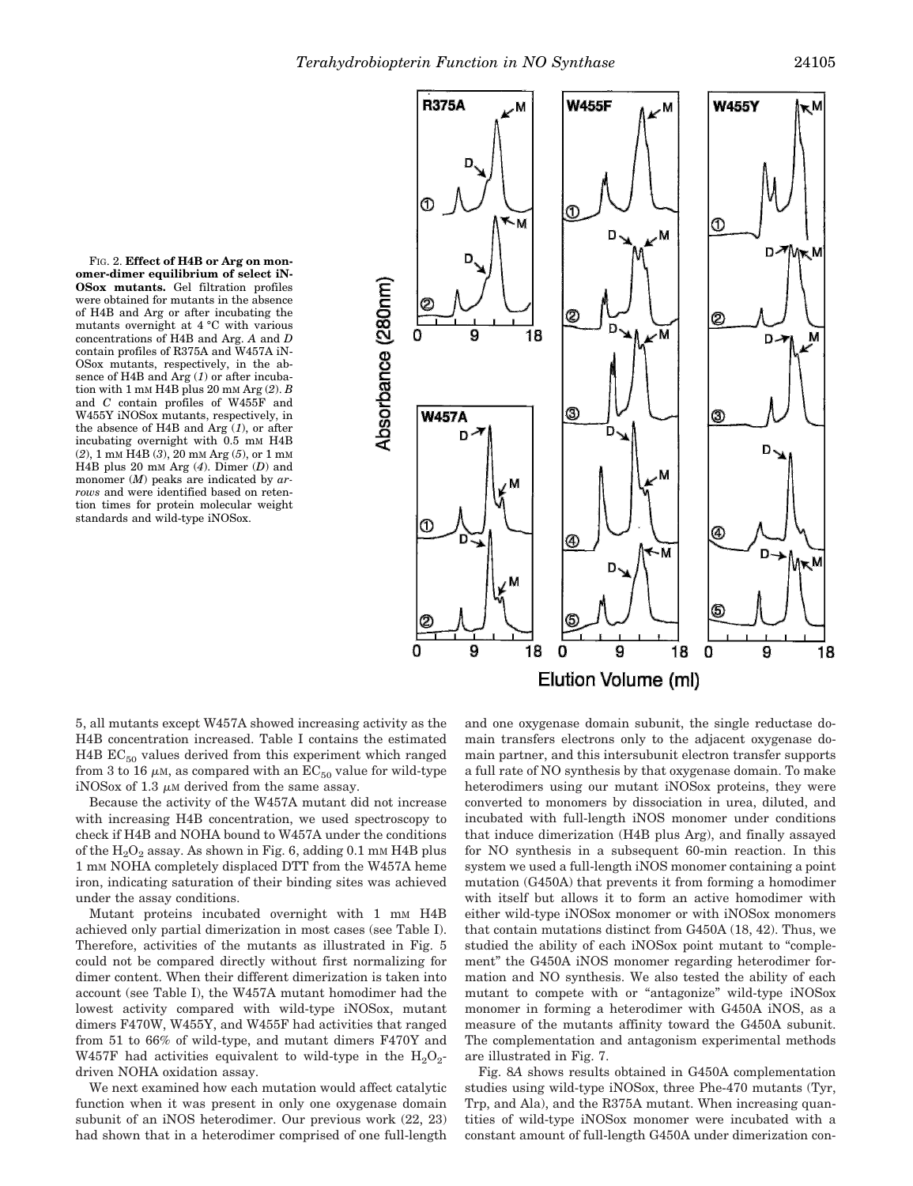

FIG. 2. **Effect of H4B or Arg on monomer-dimer equilibrium of select iN-OSox mutants.** Gel filtration profiles were obtained for mutants in the absence of H4B and Arg or after incubating the mutants overnight at 4 °C with various concentrations of H4B and Arg. *A* and *D* contain profiles of R375A and W457A iN-OSox mutants, respectively, in the absence of H4B and Arg (*1*) or after incubation with 1 mM H4B plus 20 mM Arg (*2*). *B* and *C* contain profiles of W455F and W455Y iNOSox mutants, respectively, in the absence of H4B and Arg (*1*), or after incubating overnight with 0.5 mm H4B (*2*), 1 mM H4B (*3*), 20 mM Arg (*5*), or 1 mM H4B plus 20 mM Arg (*4*). Dimer (*D*) and monomer (*M*) peaks are indicated by *arrows* and were identified based on retention times for protein molecular weight standards and wild-type iNOSox.

5, all mutants except W457A showed increasing activity as the H4B concentration increased. Table I contains the estimated H4B  $EC_{50}$  values derived from this experiment which ranged from 3 to 16  $\mu$ M, as compared with an  $EC_{50}$  value for wild-type iNOSox of 1.3  $\mu$ M derived from the same assay.

Because the activity of the W457A mutant did not increase with increasing H4B concentration, we used spectroscopy to check if H4B and NOHA bound to W457A under the conditions of the  $H_2O_2$  assay. As shown in Fig. 6, adding 0.1 mm H4B plus 1 mM NOHA completely displaced DTT from the W457A heme iron, indicating saturation of their binding sites was achieved under the assay conditions.

Mutant proteins incubated overnight with 1 mm H4B achieved only partial dimerization in most cases (see Table I). Therefore, activities of the mutants as illustrated in Fig. 5 could not be compared directly without first normalizing for dimer content. When their different dimerization is taken into account (see Table I), the W457A mutant homodimer had the lowest activity compared with wild-type iNOSox, mutant dimers F470W, W455Y, and W455F had activities that ranged from 51 to 66% of wild-type, and mutant dimers F470Y and W457F had activities equivalent to wild-type in the  $H_2O_2$ driven NOHA oxidation assay.

We next examined how each mutation would affect catalytic function when it was present in only one oxygenase domain subunit of an iNOS heterodimer. Our previous work (22, 23) had shown that in a heterodimer comprised of one full-length and one oxygenase domain subunit, the single reductase domain transfers electrons only to the adjacent oxygenase domain partner, and this intersubunit electron transfer supports a full rate of NO synthesis by that oxygenase domain. To make heterodimers using our mutant iNOSox proteins, they were converted to monomers by dissociation in urea, diluted, and incubated with full-length iNOS monomer under conditions that induce dimerization (H4B plus Arg), and finally assayed for NO synthesis in a subsequent 60-min reaction. In this system we used a full-length iNOS monomer containing a point mutation (G450A) that prevents it from forming a homodimer with itself but allows it to form an active homodimer with either wild-type iNOSox monomer or with iNOSox monomers that contain mutations distinct from G450A (18, 42). Thus, we studied the ability of each iNOSox point mutant to "complement" the G450A iNOS monomer regarding heterodimer formation and NO synthesis. We also tested the ability of each mutant to compete with or "antagonize" wild-type iNOSox monomer in forming a heterodimer with G450A iNOS, as a measure of the mutants affinity toward the G450A subunit. The complementation and antagonism experimental methods are illustrated in Fig. 7.

Fig. 8*A* shows results obtained in G450A complementation studies using wild-type iNOSox, three Phe-470 mutants (Tyr, Trp, and Ala), and the R375A mutant. When increasing quantities of wild-type iNOSox monomer were incubated with a constant amount of full-length G450A under dimerization con-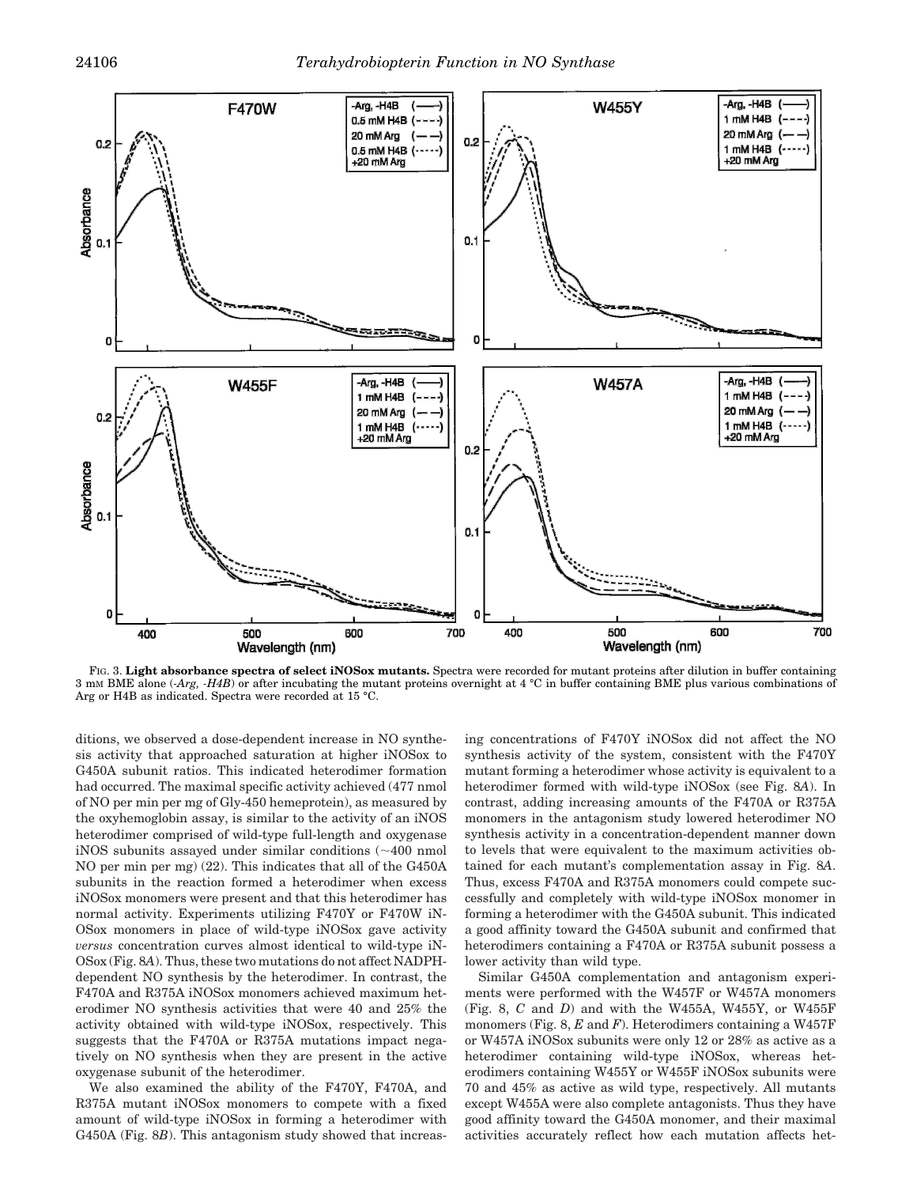

FIG. 3. **Light absorbance spectra of select iNOSox mutants.** Spectra were recorded for mutant proteins after dilution in buffer containing 3 mM BME alone (*-Arg, -H4B*) or after incubating the mutant proteins overnight at 4 °C in buffer containing BME plus various combinations of Arg or H4B as indicated. Spectra were recorded at 15 °C.

ditions, we observed a dose-dependent increase in NO synthesis activity that approached saturation at higher iNOSox to G450A subunit ratios. This indicated heterodimer formation had occurred. The maximal specific activity achieved (477 nmol of NO per min per mg of Gly-450 hemeprotein), as measured by the oxyhemoglobin assay, is similar to the activity of an iNOS heterodimer comprised of wild-type full-length and oxygenase iNOS subunits assayed under similar conditions  $(\sim 400 \text{ nmol})$ NO per min per mg) (22). This indicates that all of the G450A subunits in the reaction formed a heterodimer when excess iNOSox monomers were present and that this heterodimer has normal activity. Experiments utilizing F470Y or F470W iN-OSox monomers in place of wild-type iNOSox gave activity *versus* concentration curves almost identical to wild-type iN-OSox (Fig. 8*A*). Thus, these two mutations do not affect NADPHdependent NO synthesis by the heterodimer. In contrast, the F470A and R375A iNOSox monomers achieved maximum heterodimer NO synthesis activities that were 40 and 25% the activity obtained with wild-type iNOSox, respectively. This suggests that the F470A or R375A mutations impact negatively on NO synthesis when they are present in the active oxygenase subunit of the heterodimer.

We also examined the ability of the F470Y, F470A, and R375A mutant iNOSox monomers to compete with a fixed amount of wild-type iNOSox in forming a heterodimer with G450A (Fig. 8*B*). This antagonism study showed that increasing concentrations of F470Y iNOSox did not affect the NO synthesis activity of the system, consistent with the F470Y mutant forming a heterodimer whose activity is equivalent to a heterodimer formed with wild-type iNOSox (see Fig. 8*A*). In contrast, adding increasing amounts of the F470A or R375A monomers in the antagonism study lowered heterodimer NO synthesis activity in a concentration-dependent manner down to levels that were equivalent to the maximum activities obtained for each mutant's complementation assay in Fig. 8*A*. Thus, excess F470A and R375A monomers could compete successfully and completely with wild-type iNOSox monomer in forming a heterodimer with the G450A subunit. This indicated a good affinity toward the G450A subunit and confirmed that heterodimers containing a F470A or R375A subunit possess a lower activity than wild type.

Similar G450A complementation and antagonism experiments were performed with the W457F or W457A monomers (Fig. 8, *C* and *D*) and with the W455A, W455Y, or W455F monomers (Fig. 8, *E* and *F*). Heterodimers containing a W457F or W457A iNOSox subunits were only 12 or 28% as active as a heterodimer containing wild-type iNOSox, whereas heterodimers containing W455Y or W455F iNOSox subunits were 70 and 45% as active as wild type, respectively. All mutants except W455A were also complete antagonists. Thus they have good affinity toward the G450A monomer, and their maximal activities accurately reflect how each mutation affects het-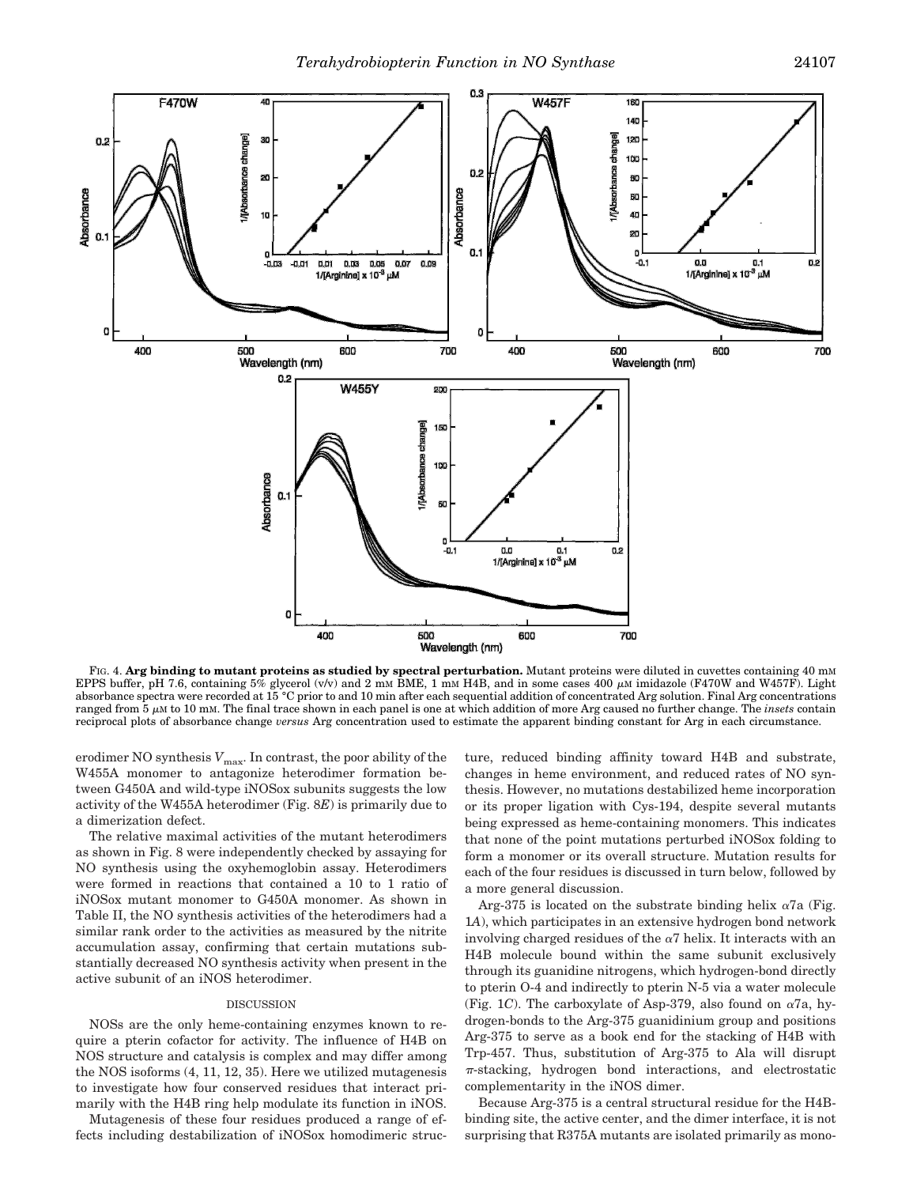

FIG. 4. Arg binding to mutant proteins as studied by spectral perturbation. Mutant proteins were diluted in cuvettes containing 40 mm EPPS buffer, pH 7.6, containing 5% glycerol (v/v) and 2 mM BME, 1 mM H4B, and in some cases 400  $\mu$ M imidazole (F470W and W457F). Light absorbance spectra were recorded at 15 °C prior to and 10 min after each sequential addition of concentrated Arg solution. Final Arg concentrations ranged from 5  $\mu$ M to 10 mM. The final trace shown in each panel is one at which addition of more Arg caused no further change. The *insets* contain reciprocal plots of absorbance change *versus* Arg concentration used to estimate the apparent binding constant for Arg in each circumstance.

erodimer NO synthesis  $V_{\rm max}$  In contrast, the poor ability of the W455A monomer to antagonize heterodimer formation between G450A and wild-type iNOSox subunits suggests the low activity of the W455A heterodimer (Fig. 8*E*) is primarily due to a dimerization defect.

The relative maximal activities of the mutant heterodimers as shown in Fig. 8 were independently checked by assaying for NO synthesis using the oxyhemoglobin assay. Heterodimers were formed in reactions that contained a 10 to 1 ratio of iNOSox mutant monomer to G450A monomer. As shown in Table II, the NO synthesis activities of the heterodimers had a similar rank order to the activities as measured by the nitrite accumulation assay, confirming that certain mutations substantially decreased NO synthesis activity when present in the active subunit of an iNOS heterodimer.

## DISCUSSION

NOSs are the only heme-containing enzymes known to require a pterin cofactor for activity. The influence of H4B on NOS structure and catalysis is complex and may differ among the NOS isoforms (4, 11, 12, 35). Here we utilized mutagenesis to investigate how four conserved residues that interact primarily with the H4B ring help modulate its function in iNOS.

Mutagenesis of these four residues produced a range of effects including destabilization of iNOSox homodimeric structure, reduced binding affinity toward H4B and substrate, changes in heme environment, and reduced rates of NO synthesis. However, no mutations destabilized heme incorporation or its proper ligation with Cys-194, despite several mutants being expressed as heme-containing monomers. This indicates that none of the point mutations perturbed iNOSox folding to form a monomer or its overall structure. Mutation results for each of the four residues is discussed in turn below, followed by a more general discussion.

Arg-375 is located on the substrate binding helix  $\alpha$ 7a (Fig. 1*A*), which participates in an extensive hydrogen bond network involving charged residues of the  $\alpha$ <sup>7</sup> helix. It interacts with an H4B molecule bound within the same subunit exclusively through its guanidine nitrogens, which hydrogen-bond directly to pterin O-4 and indirectly to pterin N-5 via a water molecule (Fig. 1*C*). The carboxylate of Asp-379, also found on  $\alpha$ 7a, hydrogen-bonds to the Arg-375 guanidinium group and positions Arg-375 to serve as a book end for the stacking of H4B with Trp-457. Thus, substitution of Arg-375 to Ala will disrupt  $\pi$ -stacking, hydrogen bond interactions, and electrostatic complementarity in the iNOS dimer.

Because Arg-375 is a central structural residue for the H4Bbinding site, the active center, and the dimer interface, it is not surprising that R375A mutants are isolated primarily as mono-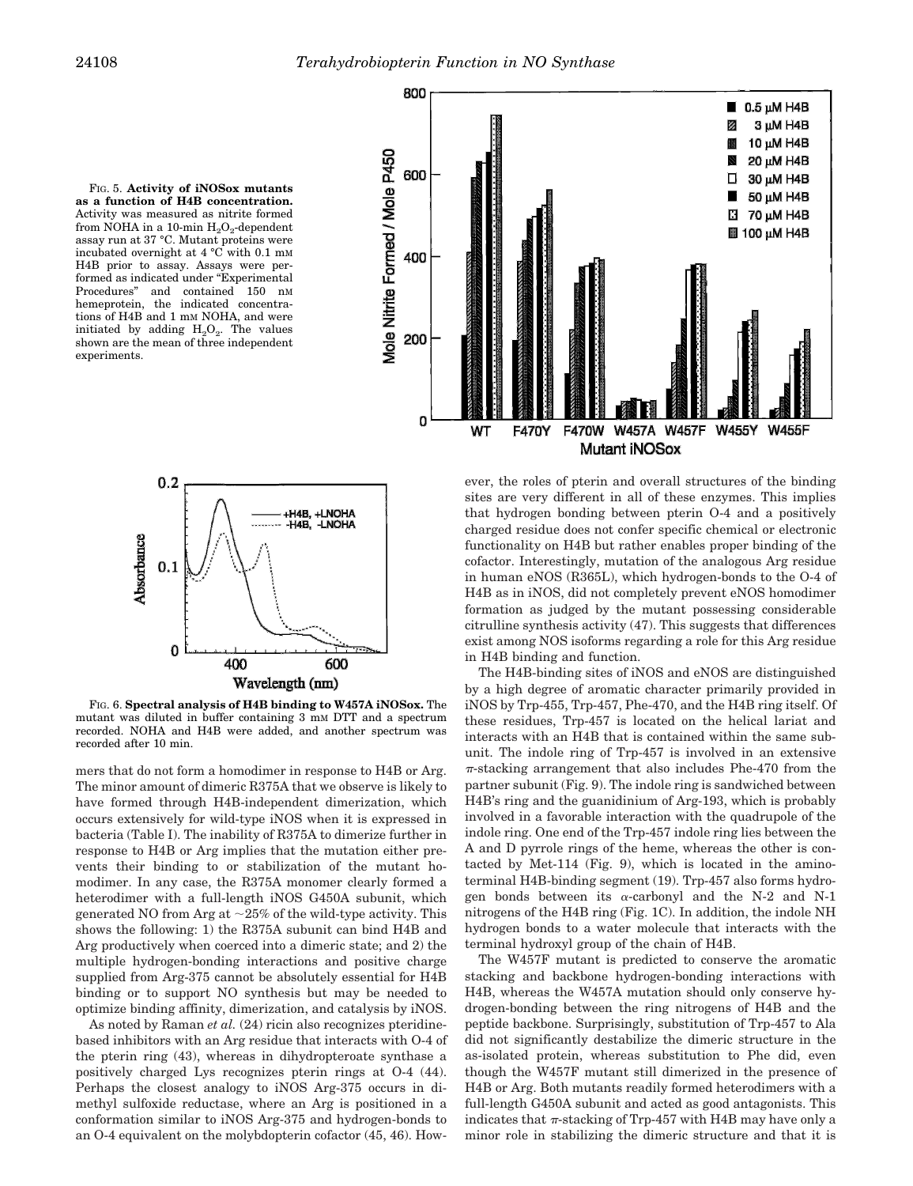



FIG. 6. **Spectral analysis of H4B binding to W457A iNOSox.** The mutant was diluted in buffer containing 3 mM DTT and a spectrum recorded. NOHA and H4B were added, and another spectrum was recorded after 10 min.

mers that do not form a homodimer in response to H4B or Arg. The minor amount of dimeric R375A that we observe is likely to have formed through H4B-independent dimerization, which occurs extensively for wild-type iNOS when it is expressed in bacteria (Table I). The inability of R375A to dimerize further in response to H4B or Arg implies that the mutation either prevents their binding to or stabilization of the mutant homodimer. In any case, the R375A monomer clearly formed a heterodimer with a full-length iNOS G450A subunit, which generated NO from Arg at  $\sim$ 25% of the wild-type activity. This shows the following: 1) the R375A subunit can bind H4B and Arg productively when coerced into a dimeric state; and 2) the multiple hydrogen-bonding interactions and positive charge supplied from Arg-375 cannot be absolutely essential for H4B binding or to support NO synthesis but may be needed to optimize binding affinity, dimerization, and catalysis by iNOS.

As noted by Raman *et al.* (24) ricin also recognizes pteridinebased inhibitors with an Arg residue that interacts with O-4 of the pterin ring (43), whereas in dihydropteroate synthase a positively charged Lys recognizes pterin rings at O-4 (44). Perhaps the closest analogy to iNOS Arg-375 occurs in dimethyl sulfoxide reductase, where an Arg is positioned in a conformation similar to iNOS Arg-375 and hydrogen-bonds to an O-4 equivalent on the molybdopterin cofactor (45, 46). How-



ever, the roles of pterin and overall structures of the binding sites are very different in all of these enzymes. This implies that hydrogen bonding between pterin O-4 and a positively charged residue does not confer specific chemical or electronic functionality on H4B but rather enables proper binding of the cofactor. Interestingly, mutation of the analogous Arg residue in human eNOS (R365L), which hydrogen-bonds to the O-4 of H4B as in iNOS, did not completely prevent eNOS homodimer formation as judged by the mutant possessing considerable citrulline synthesis activity (47). This suggests that differences exist among NOS isoforms regarding a role for this Arg residue in H4B binding and function.

The H4B-binding sites of iNOS and eNOS are distinguished by a high degree of aromatic character primarily provided in iNOS by Trp-455, Trp-457, Phe-470, and the H4B ring itself. Of these residues, Trp-457 is located on the helical lariat and interacts with an H4B that is contained within the same subunit. The indole ring of Trp-457 is involved in an extensive  $\pi$ -stacking arrangement that also includes Phe-470 from the partner subunit (Fig. 9). The indole ring is sandwiched between H4B's ring and the guanidinium of Arg-193, which is probably involved in a favorable interaction with the quadrupole of the indole ring. One end of the Trp-457 indole ring lies between the A and D pyrrole rings of the heme, whereas the other is contacted by Met-114 (Fig. 9), which is located in the aminoterminal H4B-binding segment (19). Trp-457 also forms hydrogen bonds between its  $\alpha$ -carbonyl and the N-2 and N-1 nitrogens of the H4B ring (Fig. 1C). In addition, the indole NH hydrogen bonds to a water molecule that interacts with the terminal hydroxyl group of the chain of H4B.

The W457F mutant is predicted to conserve the aromatic stacking and backbone hydrogen-bonding interactions with H4B, whereas the W457A mutation should only conserve hydrogen-bonding between the ring nitrogens of H4B and the peptide backbone. Surprisingly, substitution of Trp-457 to Ala did not significantly destabilize the dimeric structure in the as-isolated protein, whereas substitution to Phe did, even though the W457F mutant still dimerized in the presence of H4B or Arg. Both mutants readily formed heterodimers with a full-length G450A subunit and acted as good antagonists. This indicates that  $\pi$ -stacking of Trp-457 with H4B may have only a minor role in stabilizing the dimeric structure and that it is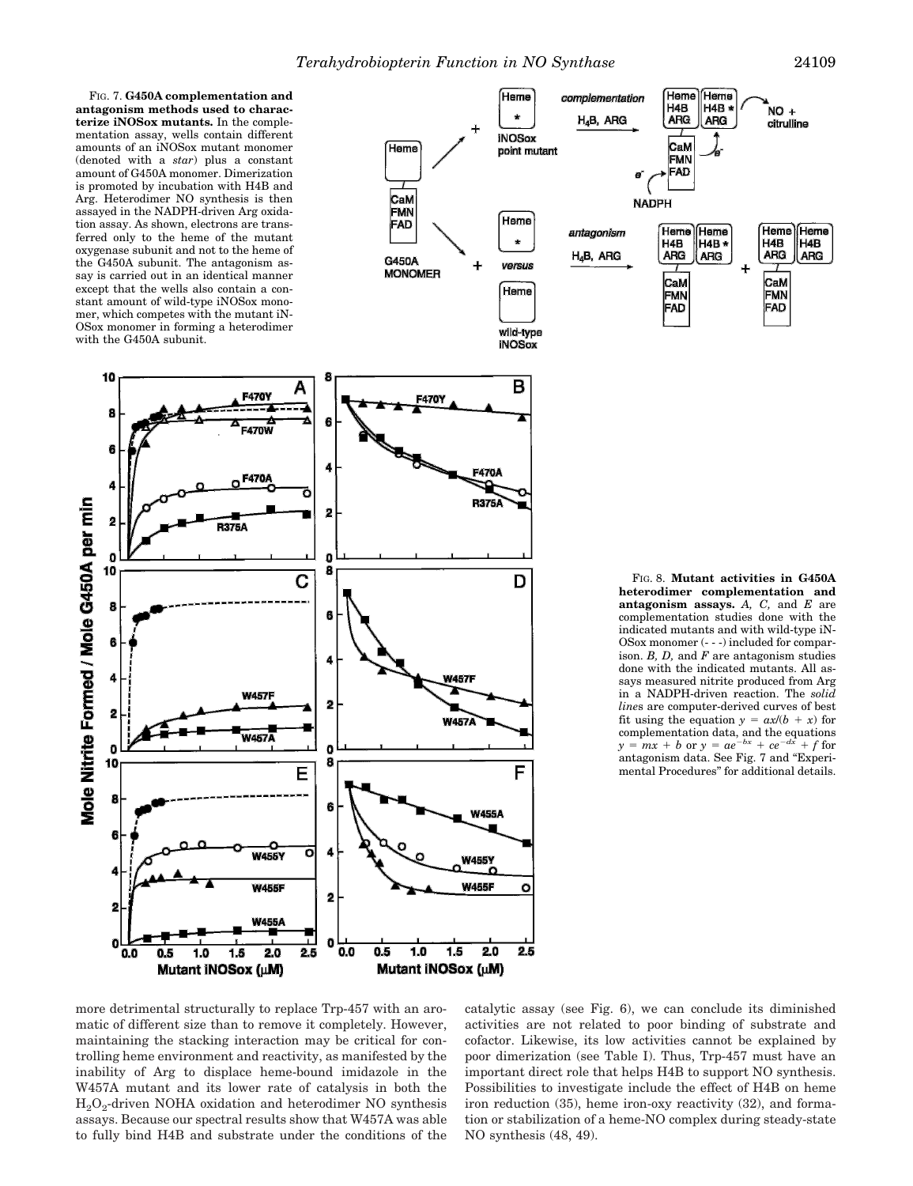(Hema

H4B

**ARG** 

FIG. 7. **G450A complementation and antagonism methods used to characterize iNOSox mutants.** In the complementation assay, wells contain different amounts of an iNOSox mutant monomer (denoted with a *star*) plus a constant amount of G450A monomer. Dimerization is promoted by incubation with H4B and Arg. Heterodimer NO synthesis is then assayed in the NADPH-driven Arg oxidation assay. As shown, electrons are transferred only to the heme of the mutant oxygenase subunit and not to the heme of the G450A subunit. The antagonism assay is carried out in an identical manner except that the wells also contain a constant amount of wild-type iNOSox monomer, which competes with the mutant iN-OSox monomer in forming a heterodimer with the G450A subunit.

10

8

6

Á

ģ

ń

10

b

2

 $\mathbf{0}$ 

10

ā

0.0

 $0.5$ 

Mutant INOSox (uM)

Mole Nitrite Formed / Mole G450A per min



Mutant iNOSox (uM)

**heterodimer complementation and antagonism assays.** *A, C,* and *E* are complementation studies done with the indicated mutants and with wild-type iN-OSox monomer (- - -) included for comparison. *B, D,* and *F* are antagonism studies done with the indicated mutants. All assays measured nitrite produced from Arg in a NADPH-driven reaction. The *solid line*s are computer-derived curves of best fit using the equation  $y = ax/(b + x)$  for complementation data, and the equations  $y = mx + b$  or  $y = ae^{-bx} + ce^{-dx} + f$  for antagonism data. See Fig. 7 and "Experimental Procedures" for additional details.

more detrimental structurally to replace Trp-457 with an aromatic of different size than to remove it completely. However, maintaining the stacking interaction may be critical for controlling heme environment and reactivity, as manifested by the inability of Arg to displace heme-bound imidazole in the W457A mutant and its lower rate of catalysis in both the H2O<sup>2</sup> -driven NOHA oxidation and heterodimer NO synthesis assays. Because our spectral results show that W457A was able to fully bind H4B and substrate under the conditions of the catalytic assay (see Fig. 6), we can conclude its diminished activities are not related to poor binding of substrate and cofactor. Likewise, its low activities cannot be explained by poor dimerization (see Table I). Thus, Trp-457 must have an important direct role that helps H4B to support NO synthesis. Possibilities to investigate include the effect of H4B on heme iron reduction (35), heme iron-oxy reactivity (32), and formation or stabilization of a heme-NO complex during steady-state NO synthesis (48, 49).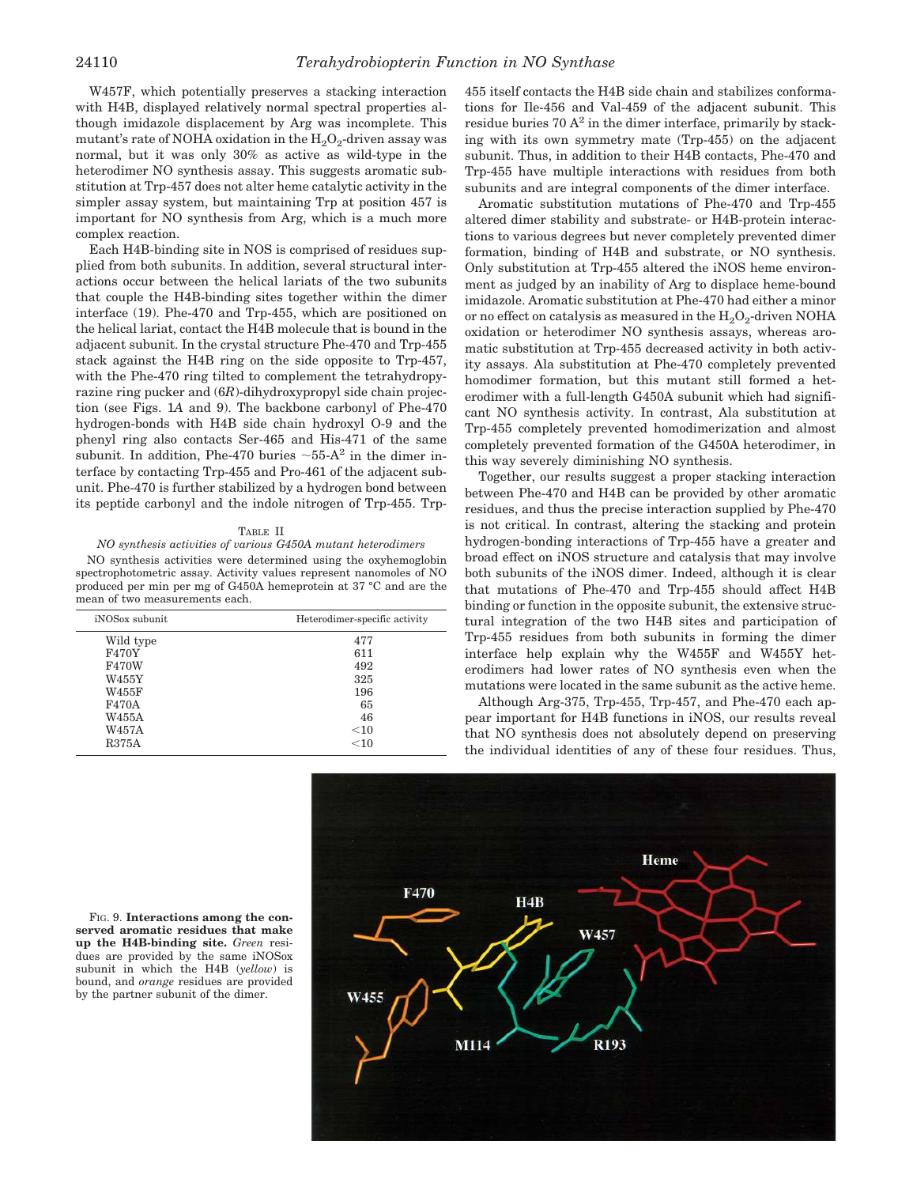W457F, which potentially preserves a stacking interaction with H4B, displayed relatively normal spectral properties although imidazole displacement by Arg was incomplete. This mutant's rate of NOHA oxidation in the  $\rm H_2O_2$ -driven assay was normal, but it was only 30% as active as wild-type in the heterodimer NO synthesis assay. This suggests aromatic substitution at Trp-457 does not alter heme catalytic activity in the simpler assay system, but maintaining Trp at position 457 is important for NO synthesis from Arg, which is a much more complex reaction.

Each H4B-binding site in NOS is comprised of residues supplied from both subunits. In addition, several structural interactions occur between the helical lariats of the two subunits that couple the H4B-binding sites together within the dimer interface (19). Phe-470 and Trp-455, which are positioned on the helical lariat, contact the H4B molecule that is bound in the adjacent subunit. In the crystal structure Phe-470 and Trp-455 stack against the H4B ring on the side opposite to Trp-457, with the Phe-470 ring tilted to complement the tetrahydropyrazine ring pucker and (6*R*)-dihydroxypropyl side chain projection (see Figs. 1*A* and 9). The backbone carbonyl of Phe-470 hydrogen-bonds with H4B side chain hydroxyl O-9 and the phenyl ring also contacts Ser-465 and His-471 of the same subunit. In addition, Phe-470 buries  $\sim$ 55-A<sup>2</sup> in the dimer interface by contacting Trp-455 and Pro-461 of the adjacent subunit. Phe-470 is further stabilized by a hydrogen bond between its peptide carbonyl and the indole nitrogen of Trp-455. Trp-

#### TABLE II

## *NO synthesis activities of various G450A mutant heterodimers*

NO synthesis activities were determined using the oxyhemoglobin spectrophotometric assay. Activity values represent nanomoles of NO produced per min per mg of G450A hemeprotein at 37 °C and are the mean of two measurements each.

| iNOSox subunit | Heterodimer-specific activity |  |  |  |  |
|----------------|-------------------------------|--|--|--|--|
| Wild type      | 477                           |  |  |  |  |
| <b>F470Y</b>   | 611                           |  |  |  |  |
| <b>F470W</b>   | 492                           |  |  |  |  |
| W455Y          | 325                           |  |  |  |  |
| W455F          | 196                           |  |  |  |  |
| F470A          | 65                            |  |  |  |  |
| <b>W455A</b>   | 46                            |  |  |  |  |
| W457A          | $<$ 10                        |  |  |  |  |
| <b>R375A</b>   | $<$ 10                        |  |  |  |  |

455 itself contacts the H4B side chain and stabilizes conformations for Ile-456 and Val-459 of the adjacent subunit. This residue buries  $70 \, \mathrm{A}^2$  in the dimer interface, primarily by stacking with its own symmetry mate (Trp-455) on the adjacent subunit. Thus, in addition to their H4B contacts, Phe-470 and Trp-455 have multiple interactions with residues from both subunits and are integral components of the dimer interface.

Aromatic substitution mutations of Phe-470 and Trp-455 altered dimer stability and substrate- or H4B-protein interactions to various degrees but never completely prevented dimer formation, binding of H4B and substrate, or NO synthesis. Only substitution at Trp-455 altered the iNOS heme environment as judged by an inability of Arg to displace heme-bound imidazole. Aromatic substitution at Phe-470 had either a minor or no effect on catalysis as measured in the  $\rm H_2O_2$ -driven NOHA oxidation or heterodimer NO synthesis assays, whereas aromatic substitution at Trp-455 decreased activity in both activity assays. Ala substitution at Phe-470 completely prevented homodimer formation, but this mutant still formed a heterodimer with a full-length G450A subunit which had significant NO synthesis activity. In contrast, Ala substitution at Trp-455 completely prevented homodimerization and almost completely prevented formation of the G450A heterodimer, in this way severely diminishing NO synthesis.

Together, our results suggest a proper stacking interaction between Phe-470 and H4B can be provided by other aromatic residues, and thus the precise interaction supplied by Phe-470 is not critical. In contrast, altering the stacking and protein hydrogen-bonding interactions of Trp-455 have a greater and broad effect on iNOS structure and catalysis that may involve both subunits of the iNOS dimer. Indeed, although it is clear that mutations of Phe-470 and Trp-455 should affect H4B binding or function in the opposite subunit, the extensive structural integration of the two H4B sites and participation of Trp-455 residues from both subunits in forming the dimer interface help explain why the W455F and W455Y heterodimers had lower rates of NO synthesis even when the mutations were located in the same subunit as the active heme.

Although Arg-375, Trp-455, Trp-457, and Phe-470 each appear important for H4B functions in iNOS, our results reveal that NO synthesis does not absolutely depend on preserving the individual identities of any of these four residues. Thus,



FIG. 9. **Interactions among the conserved aromatic residues that make up the H4B-binding site.** *Green* residues are provided by the same iNOSox subunit in which the H4B (*yellow*) is bound, and *orange* residues are provided by the partner subunit of the dimer.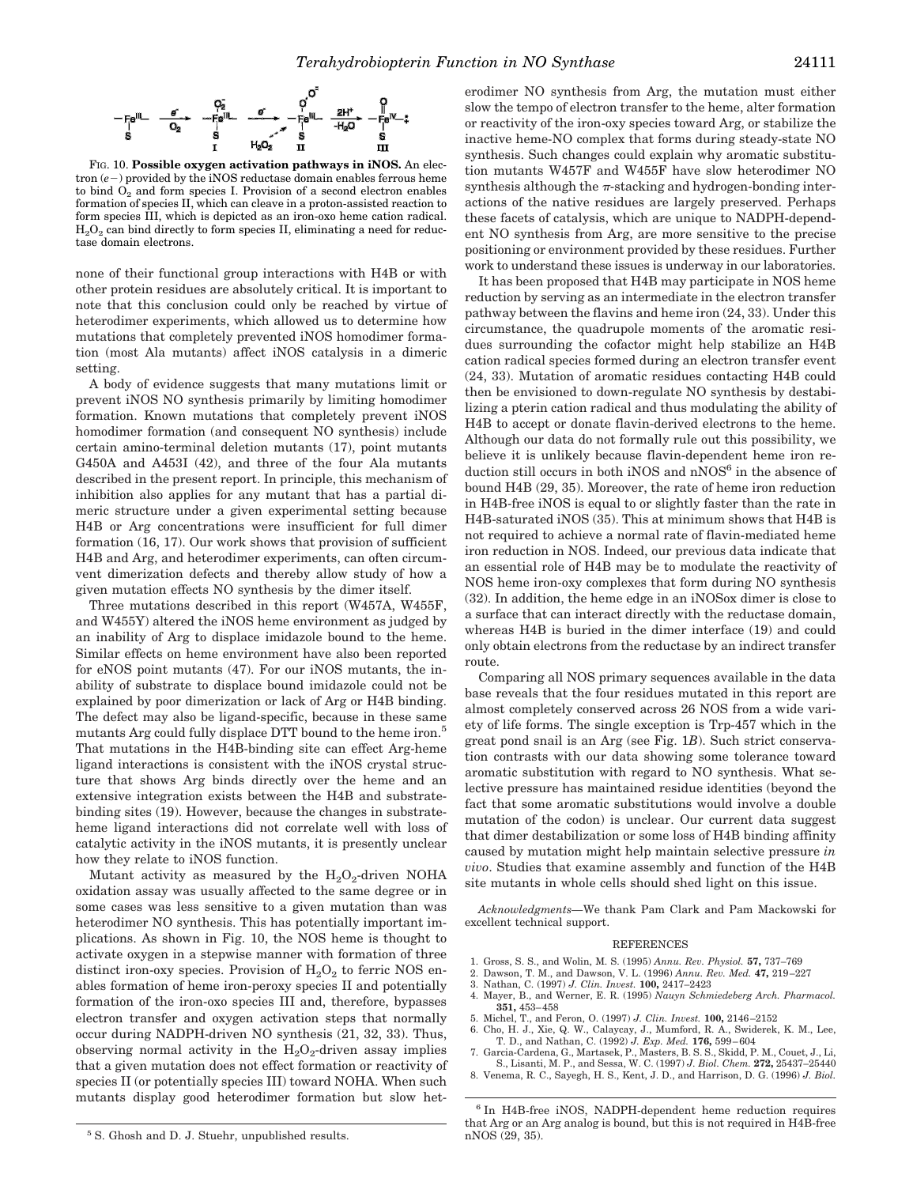

FIG. 10. **Possible oxygen activation pathways in iNOS.** An elec $tron (e-) provided by the iNOS reductase domain enables ferrous home$ to bind  $O<sub>2</sub>$  and form species I. Provision of a second electron enables formation of species II, which can cleave in a proton-assisted reaction to form species III, which is depicted as an iron-oxo heme cation radical.  $\rm H_2O_2$  can bind directly to form species II, eliminating a need for reductase domain electrons.

none of their functional group interactions with H4B or with other protein residues are absolutely critical. It is important to note that this conclusion could only be reached by virtue of heterodimer experiments, which allowed us to determine how mutations that completely prevented iNOS homodimer formation (most Ala mutants) affect iNOS catalysis in a dimeric setting.

A body of evidence suggests that many mutations limit or prevent iNOS NO synthesis primarily by limiting homodimer formation. Known mutations that completely prevent iNOS homodimer formation (and consequent NO synthesis) include certain amino-terminal deletion mutants (17), point mutants G450A and A453I (42), and three of the four Ala mutants described in the present report. In principle, this mechanism of inhibition also applies for any mutant that has a partial dimeric structure under a given experimental setting because H4B or Arg concentrations were insufficient for full dimer formation (16, 17). Our work shows that provision of sufficient H4B and Arg, and heterodimer experiments, can often circumvent dimerization defects and thereby allow study of how a given mutation effects NO synthesis by the dimer itself.

Three mutations described in this report (W457A, W455F, and W455Y) altered the iNOS heme environment as judged by an inability of Arg to displace imidazole bound to the heme. Similar effects on heme environment have also been reported for eNOS point mutants (47). For our iNOS mutants, the inability of substrate to displace bound imidazole could not be explained by poor dimerization or lack of Arg or H4B binding. The defect may also be ligand-specific, because in these same mutants Arg could fully displace DTT bound to the heme iron.<sup>5</sup> That mutations in the H4B-binding site can effect Arg-heme ligand interactions is consistent with the iNOS crystal structure that shows Arg binds directly over the heme and an extensive integration exists between the H4B and substratebinding sites (19). However, because the changes in substrateheme ligand interactions did not correlate well with loss of catalytic activity in the iNOS mutants, it is presently unclear how they relate to iNOS function.

Mutant activity as measured by the  $\rm H_2O_2$ -driven NOHA oxidation assay was usually affected to the same degree or in some cases was less sensitive to a given mutation than was heterodimer NO synthesis. This has potentially important implications. As shown in Fig. 10, the NOS heme is thought to activate oxygen in a stepwise manner with formation of three distinct iron-oxy species. Provision of  $H_2O_2$  to ferric NOS enables formation of heme iron-peroxy species II and potentially formation of the iron-oxo species III and, therefore, bypasses electron transfer and oxygen activation steps that normally occur during NADPH-driven NO synthesis (21, 32, 33). Thus, observing normal activity in the  $H_2O_2$ -driven assay implies that a given mutation does not effect formation or reactivity of species II (or potentially species III) toward NOHA. When such mutants display good heterodimer formation but slow het-

<sup>5</sup> S. Ghosh and D. J. Stuehr, unpublished results.

erodimer NO synthesis from Arg, the mutation must either slow the tempo of electron transfer to the heme, alter formation or reactivity of the iron-oxy species toward Arg, or stabilize the inactive heme-NO complex that forms during steady-state NO synthesis. Such changes could explain why aromatic substitution mutants W457F and W455F have slow heterodimer NO synthesis although the  $\pi$ -stacking and hydrogen-bonding interactions of the native residues are largely preserved. Perhaps these facets of catalysis, which are unique to NADPH-dependent NO synthesis from Arg, are more sensitive to the precise positioning or environment provided by these residues. Further work to understand these issues is underway in our laboratories.

It has been proposed that H4B may participate in NOS heme reduction by serving as an intermediate in the electron transfer pathway between the flavins and heme iron (24, 33). Under this circumstance, the quadrupole moments of the aromatic residues surrounding the cofactor might help stabilize an H4B cation radical species formed during an electron transfer event (24, 33). Mutation of aromatic residues contacting H4B could then be envisioned to down-regulate NO synthesis by destabilizing a pterin cation radical and thus modulating the ability of H4B to accept or donate flavin-derived electrons to the heme. Although our data do not formally rule out this possibility, we believe it is unlikely because flavin-dependent heme iron reduction still occurs in both iNOS and nNOS<sup>6</sup> in the absence of bound H4B (29, 35). Moreover, the rate of heme iron reduction in H4B-free iNOS is equal to or slightly faster than the rate in H4B-saturated iNOS (35). This at minimum shows that H4B is not required to achieve a normal rate of flavin-mediated heme iron reduction in NOS. Indeed, our previous data indicate that an essential role of H4B may be to modulate the reactivity of NOS heme iron-oxy complexes that form during NO synthesis (32). In addition, the heme edge in an iNOSox dimer is close to a surface that can interact directly with the reductase domain, whereas H4B is buried in the dimer interface (19) and could only obtain electrons from the reductase by an indirect transfer route.

Comparing all NOS primary sequences available in the data base reveals that the four residues mutated in this report are almost completely conserved across 26 NOS from a wide variety of life forms. The single exception is Trp-457 which in the great pond snail is an Arg (see Fig. 1*B*). Such strict conservation contrasts with our data showing some tolerance toward aromatic substitution with regard to NO synthesis. What selective pressure has maintained residue identities (beyond the fact that some aromatic substitutions would involve a double mutation of the codon) is unclear. Our current data suggest that dimer destabilization or some loss of H4B binding affinity caused by mutation might help maintain selective pressure *in vivo*. Studies that examine assembly and function of the H4B site mutants in whole cells should shed light on this issue.

*Acknowledgments—*We thank Pam Clark and Pam Mackowski for excellent technical support.

#### **REFERENCES**

- 1. Gross, S. S., and Wolin, M. S. (1995) *Annu. Rev. Physiol.* **57,** 737–769
- 2. Dawson, T. M., and Dawson, V. L. (1996) *Annu. Rev. Med.* **47,** 219–227
- 3. Nathan, C. (1997) *J. Clin. Invest.* **100,** 2417–2423
- 4. Mayer, B., and Werner, E. R. (1995) *Nauyn Schmiedeberg Arch. Pharmacol.* **351,** 453–458
- 5. Michel, T., and Feron, O. (1997) *J. Clin. Invest.* **100,** 2146–2152
- 6. Cho, H. J., Xie, Q. W., Calaycay, J., Mumford, R. A., Swiderek, K. M., Lee, T. D., and Nathan, C. (1992) *J. Exp. Med.* **176,** 599–604
- 7. Garcia-Cardena, G., Martasek, P., Masters, B. S. S., Skidd, P. M., Couet, J., Li, S., Lisanti, M. P., and Sessa, W. C. (1997) *J. Biol. Chem.* **272,** 25437–25440
- 8. Venema, R. C., Sayegh, H. S., Kent, J. D., and Harrison, D. G. (1996) *J. Biol.*

<sup>6</sup> In H4B-free iNOS, NADPH-dependent heme reduction requires that Arg or an Arg analog is bound, but this is not required in H4B-free nNOS (29, 35).